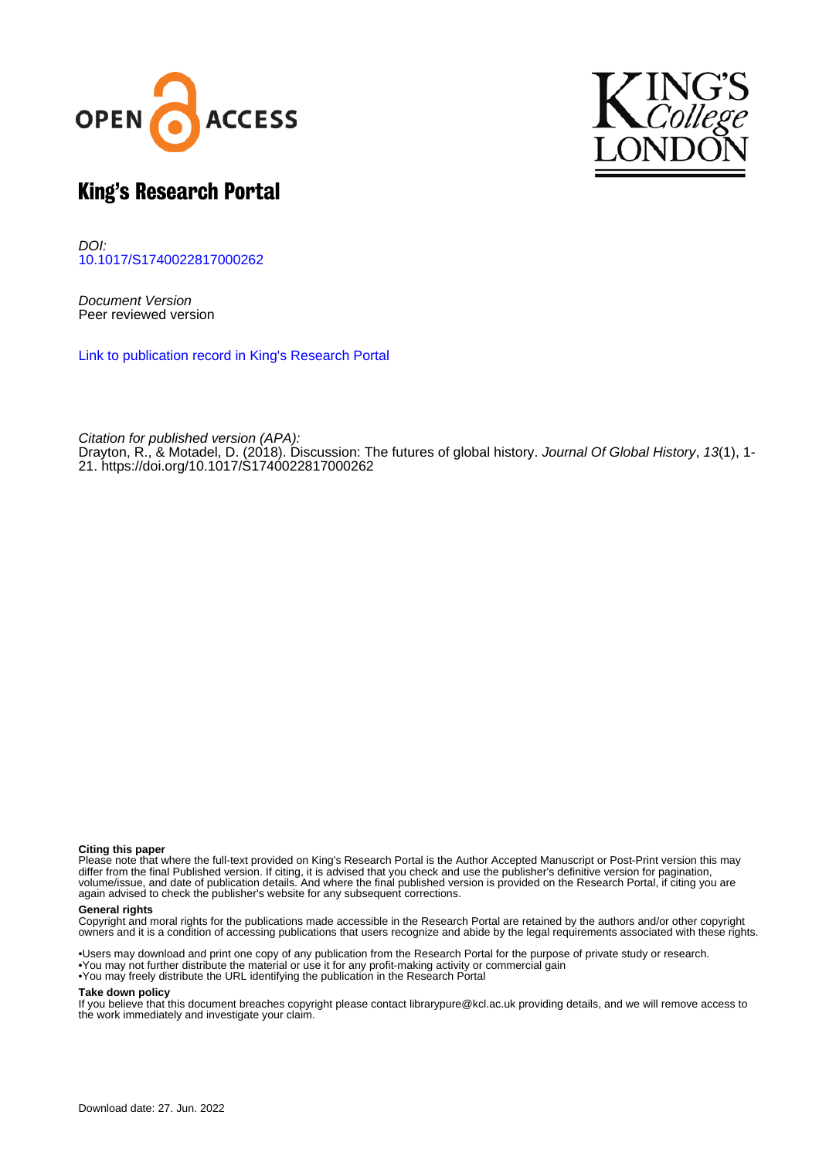



# King's Research Portal

DOI: [10.1017/S1740022817000262](https://doi.org/10.1017/S1740022817000262)

Document Version Peer reviewed version

[Link to publication record in King's Research Portal](https://kclpure.kcl.ac.uk/portal/en/publications/discussion(cc7a01a7-0fbe-464e-85bb-3b21158fb968).html)

Citation for published version (APA): [Drayton, R.,](/portal/richard.drayton.html) & Motadel, D. (2018). [Discussion: The futures of global history](https://kclpure.kcl.ac.uk/portal/en/publications/discussion(cc7a01a7-0fbe-464e-85bb-3b21158fb968).html). [Journal Of Global History](https://kclpure.kcl.ac.uk/portal/en/journals/journal-of-global-history(cf5b8f20-8eb2-4bea-9b5b-b2d27e9b4511).html), 13(1), 1-21. <https://doi.org/10.1017/S1740022817000262>

#### **Citing this paper**

Please note that where the full-text provided on King's Research Portal is the Author Accepted Manuscript or Post-Print version this may differ from the final Published version. If citing, it is advised that you check and use the publisher's definitive version for pagination, volume/issue, and date of publication details. And where the final published version is provided on the Research Portal, if citing you are again advised to check the publisher's website for any subsequent corrections.

#### **General rights**

Copyright and moral rights for the publications made accessible in the Research Portal are retained by the authors and/or other copyright owners and it is a condition of accessing publications that users recognize and abide by the legal requirements associated with these rights.

•Users may download and print one copy of any publication from the Research Portal for the purpose of private study or research. •You may not further distribute the material or use it for any profit-making activity or commercial gain •You may freely distribute the URL identifying the publication in the Research Portal

#### **Take down policy**

If you believe that this document breaches copyright please contact librarypure@kcl.ac.uk providing details, and we will remove access to the work immediately and investigate your claim.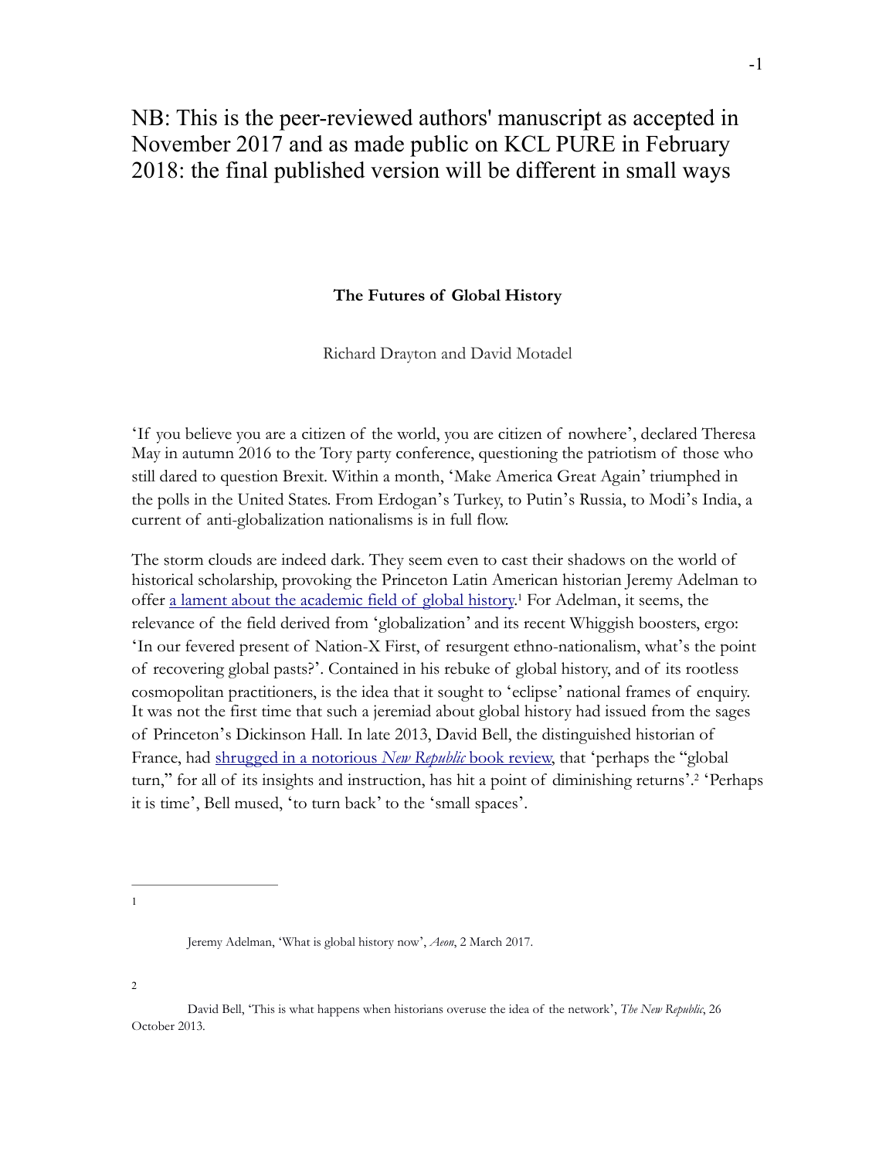# NB: This is the peer-reviewed authors' manuscript as accepted in November 2017 and as made public on KCL PURE in February 2018: the final published version will be different in small ways

### **The Futures of Global History**

Richard Drayton and David Motadel

'If you believe you are a citizen of the world, you are citizen of nowhere', declared Theresa May in autumn 2016 to the Tory party conference, questioning the patriotism of those who still dared to question Brexit. Within a month, 'Make America Great Again' triumphed in the polls in the United States. From Erdogan's Turkey, to Putin's Russia, to Modi's India, a current of anti-globalization nationalisms is in full flow.

The storm clouds are indeed dark. They seem even to cast their shadows on the world of historical scholarship, provoking the Princeton Latin American historian Jeremy Adelman to offer [a lament about the academic field of global history](https://aeon.co/essays/is-global-history-still-possible-or-has-it-had-its-moment)<sup>1</sup> For Adelman, it seems, the relevance of the field derived from 'globalization' and its recent Whiggish boosters, ergo: 'In our fevered present of Nation-X First, of resurgent ethno-nationalism, what's the point of recovering global pasts?'. Contained in his rebuke of global history, and of its rootless cosmopolitan practitioners, is the idea that it sought to 'eclipse' national frames of enquiry. It was not the first time that such a jeremiad about global history had issued from the sages of Princeton's Dickinson Hall. In late 2013, David Bell, the distinguished historian of France, had [shrugged in a notorious](https://newrepublic.com/article/114709/world-connecting-reviewed-historians-overuse-network-metaphor) *[New Republic](https://newrepublic.com/article/114709/world-connecting-reviewed-historians-overuse-network-metaphor)* [book review,](https://newrepublic.com/article/114709/world-connecting-reviewed-historians-overuse-network-metaphor) that 'perhaps the "global turn," for all of its insights and instruction, has hit a point of diminishing returns'.<sup>2</sup> 'Perhaps it is time', Bell mused, 'to turn back' to the 'small spaces'.

1

2

Jeremy Adelman, 'What is global history now', *Aeon*, 2 March 2017.

David Bell, 'This is what happens when historians overuse the idea of the network', *The New Republic*, 26 October 2013.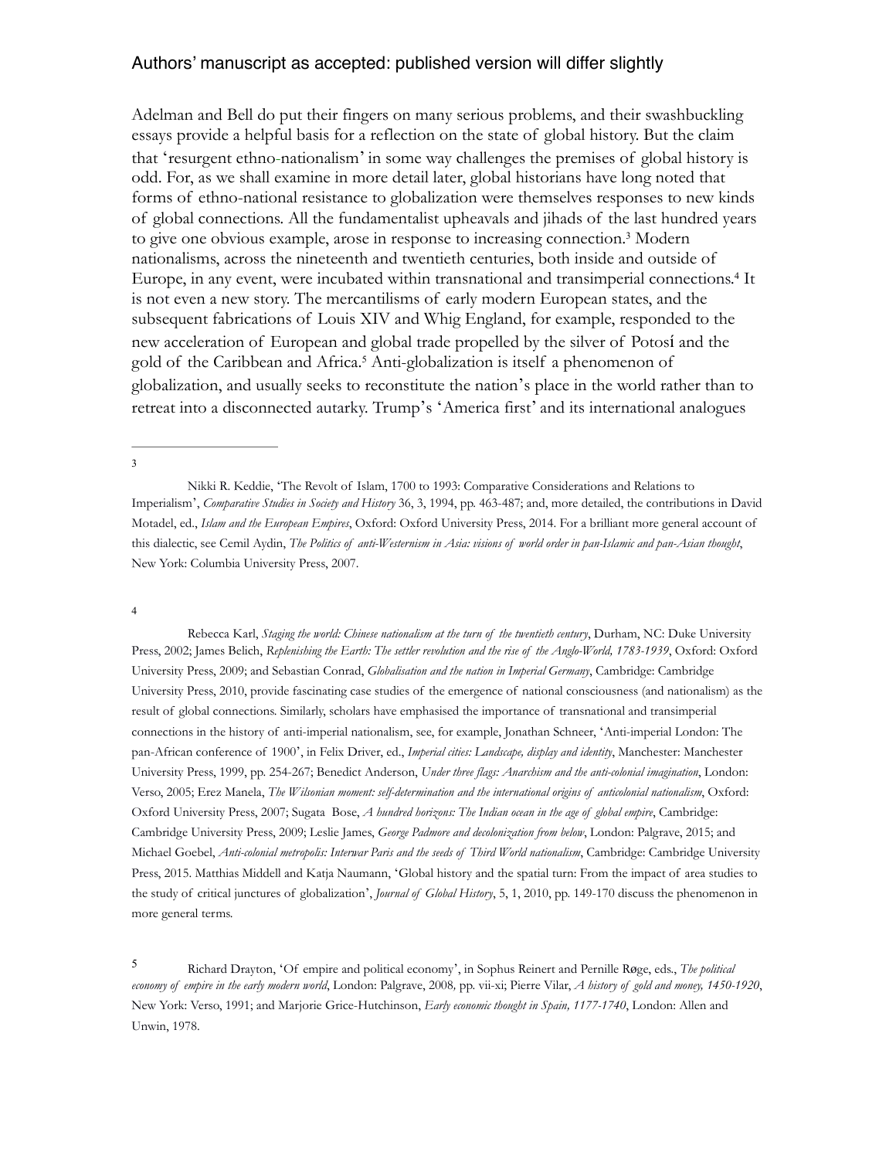Adelman and Bell do put their fingers on many serious problems, and their swashbuckling essays provide a helpful basis for a reflection on the state of global history. But the claim that 'resurgent ethno-nationalism' in some way challenges the premises of global history is odd. For, as we shall examine in more detail later, global historians have long noted that forms of ethno-national resistance to globalization were themselves responses to new kinds of global connections. All the fundamentalist upheavals and jihads of the last hundred years to give one obvious example, arose in response to increasing connection.<sup>3</sup> Modern nationalisms, across the nineteenth and twentieth centuries, both inside and outside of Europe, in any event, were incubated within transnational and transimperial connections.<sup>4</sup> It is not even a new story. The mercantilisms of early modern European states, and the subsequent fabrications of Louis XIV and Whig England, for example, responded to the new acceleration of European and global trade propelled by the silver of Potosí and the gold of the Caribbean and Africa.<sup>5</sup> Anti-globalization is itself a phenomenon of globalization, and usually seeks to reconstitute the nation's place in the world rather than to retreat into a disconnected autarky. Trump's 'America first' and its international analogues

#### 4

Rebecca Karl, *Staging the world: Chinese nationalism at the turn of the twentieth century*, Durham, NC: Duke University Press, 2002; James Belich, *Replenishing the Earth: The settler revolution and the rise of the Anglo-World, 1783-1939*, Oxford: Oxford University Press, 2009; and Sebastian Conrad, *Globalisation and the nation in Imperial Germany*, Cambridge: Cambridge University Press, 2010, provide fascinating case studies of the emergence of national consciousness (and nationalism) as the result of global connections. Similarly, scholars have emphasised the importance of transnational and transimperial connections in the history of anti-imperial nationalism, see, for example, Jonathan Schneer, 'Anti-imperial London: The pan-African conference of 1900', in Felix Driver, ed., *Imperial cities: Landscape, display and identity*, Manchester: Manchester University Press, 1999, pp. 254-267; Benedict Anderson, *Under three flags: Anarchism and the anti-colonial imagination*, London: Verso, 2005; Erez Manela, *The Wilsonian moment: self-determination and the international origins of anticolonial nationalism*, Oxford: Oxford University Press, 2007; Sugata Bose, *A hundred horizons: The Indian ocean in the age of global empire*, Cambridge: Cambridge University Press, 2009; Leslie James, *George Padmore and decolonization from below*, London: Palgrave, 2015; and Michael Goebel, *Anti-colonial metropolis: Interwar Paris and the seeds of Third World nationalism*, Cambridge: Cambridge University Press, 2015. Matthias Middell and Katja Naumann, 'Global history and the spatial turn: From the impact of area studies to the study of critical junctures of globalization', *Journal of Global History*, 5, 1, 2010, pp. 149-170 discuss the phenomenon in more general terms.

Richard Drayton, 'Of empire and political economy', in Sophus Reinert and Pernille Røge, eds., *The political* <sup>5</sup> *economy of empire in the early modern world*, London: Palgrave, 2008*,* pp. vii-xi; Pierre Vilar, *A history of gold and money, 1450-1920*, New York: Verso, 1991; and Marjorie Grice-Hutchinson, *Early economic thought in Spain, 1177-1740*, London: Allen and Unwin, 1978.

<sup>3</sup>

Nikki R. Keddie, 'The Revolt of Islam, 1700 to 1993: Comparative Considerations and Relations to Imperialism', *Comparative Studies in Society and History* 36, 3, 1994, pp. 463-487; and, more detailed, the contributions in David Motadel, ed., *Islam and the European Empires*, Oxford: Oxford University Press, 2014. For a brilliant more general account of this dialectic, see Cemil Aydin, *The Politics of anti-Westernism in Asia: visions of world order in pan-Islamic and pan-Asian thought*, New York: Columbia University Press, 2007.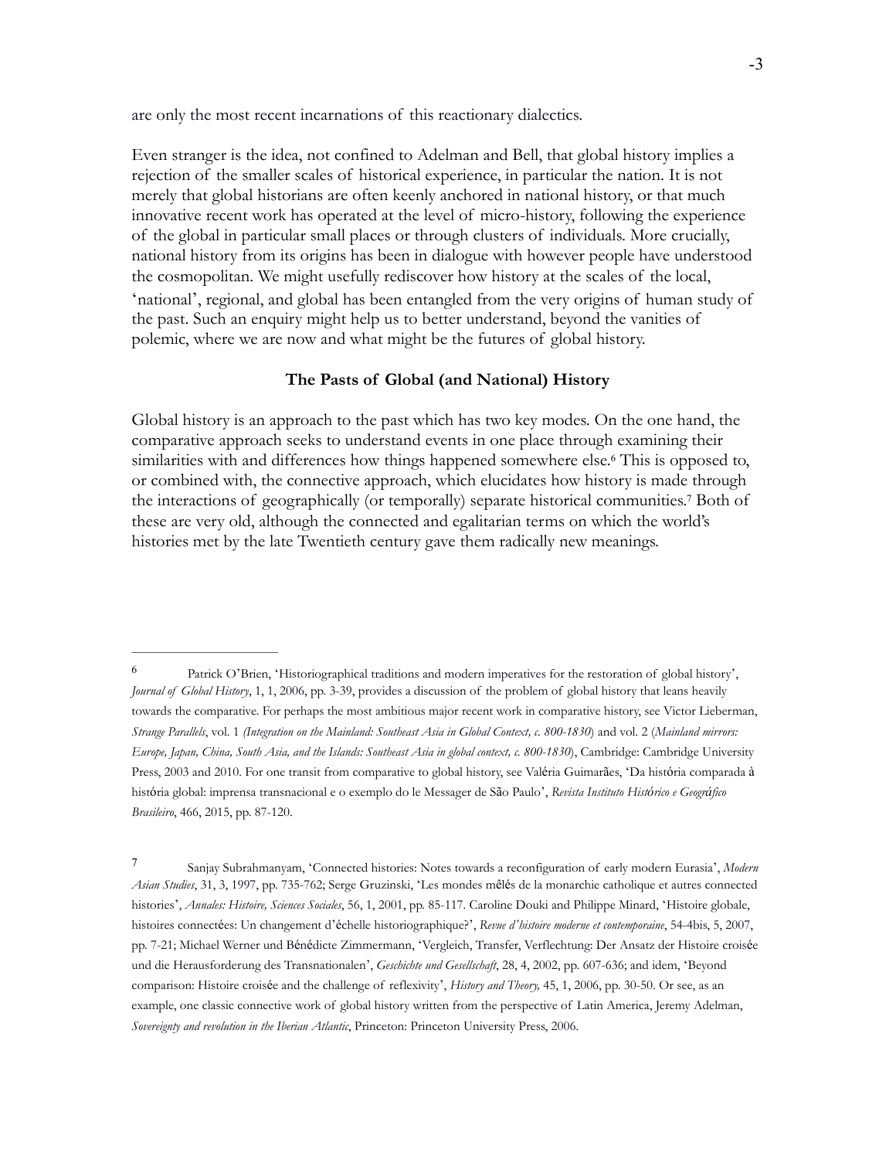are only the most recent incarnations of this reactionary dialectics.

Even stranger is the idea, not confined to Adelman and Bell, that global history implies a rejection of the smaller scales of historical experience, in particular the nation. It is not merely that global historians are often keenly anchored in national history, or that much innovative recent work has operated at the level of micro-history, following the experience of the global in particular small places or through clusters of individuals. More crucially, national history from its origins has been in dialogue with however people have understood the cosmopolitan. We might usefully rediscover how history at the scales of the local, 'national', regional, and global has been entangled from the very origins of human study of the past. Such an enquiry might help us to better understand, beyond the vanities of polemic, where we are now and what might be the futures of global history.

### **The Pasts of Global (and National) History**

Global history is an approach to the past which has two key modes. On the one hand, the comparative approach seeks to understand events in one place through examining their similarities with and differences how things happened somewhere else.<sup>6</sup> This is opposed to, or combined with, the connective approach, which elucidates how history is made through the interactions of geographically (or temporally) separate historical communities.<sup>7</sup> Both of these are very old, although the connected and egalitarian terms on which the world's histories met by the late Twentieth century gave them radically new meanings.

<sup>&</sup>lt;sup>6</sup> Patrick O'Brien, 'Historiographical traditions and modern imperatives for the restoration of global history', *Journal of Global History*, 1, 1, 2006, pp. 3-39, provides a discussion of the problem of global history that leans heavily towards the comparative. For perhaps the most ambitious major recent work in comparative history, see Victor Lieberman, *Strange Parallels*, vol. 1 *(Integration on the Mainland: Southeast Asia in Global Context, c. 800-1830*) and vol. 2 (*Mainland mirrors: Europe, Japan, China, South Asia, and the Islands: Southeast Asia in global context, c. 800-1830*), Cambridge: Cambridge University Press, 2003 and 2010. For one transit from comparative to global history, see Valéria Guimarães, 'Da história comparada à história global: imprensa transnacional e o exemplo do le Messager de São Paulo', *Revista Instituto Histórico e Geográfico Brasileiro*, 466, 2015, pp. 87-120.

Sanjay Subrahmanyam, 'Connected histories: Notes towards a reconfiguration of early modern Eurasia', *Modern* <sup>7</sup> *Asian Studies*, 31, 3, 1997, pp. 735-762; Serge Gruzinski, 'Les mondes mêlés de la monarchie catholique et autres connected histories', *Annales: Histoire, Sciences Sociales*, 56, 1, 2001, pp. 85-117. Caroline Douki and Philippe Minard, 'Histoire globale, histoires connectées: Un changement d'échelle historiographique?', *Revue d'histoire moderne et contemporaine*, 54-4bis, 5, 2007, pp. 7-21; Michael Werner und Bénédicte Zimmermann, 'Vergleich, Transfer, Verflechtung: Der Ansatz der Histoire croisée und die Herausforderung des Transnationalen', *Geschichte und Gesellschaft*, 28, 4, 2002, pp. 607-636; and idem, 'Beyond comparison: Histoire croisée and the challenge of reflexivity', *History and Theory,* 45, 1, 2006, pp. 30-50. Or see, as an example, one classic connective work of global history written from the perspective of Latin America, Jeremy Adelman, *Sovereignty and revolution in the Iberian Atlantic*, Princeton: Princeton University Press, 2006.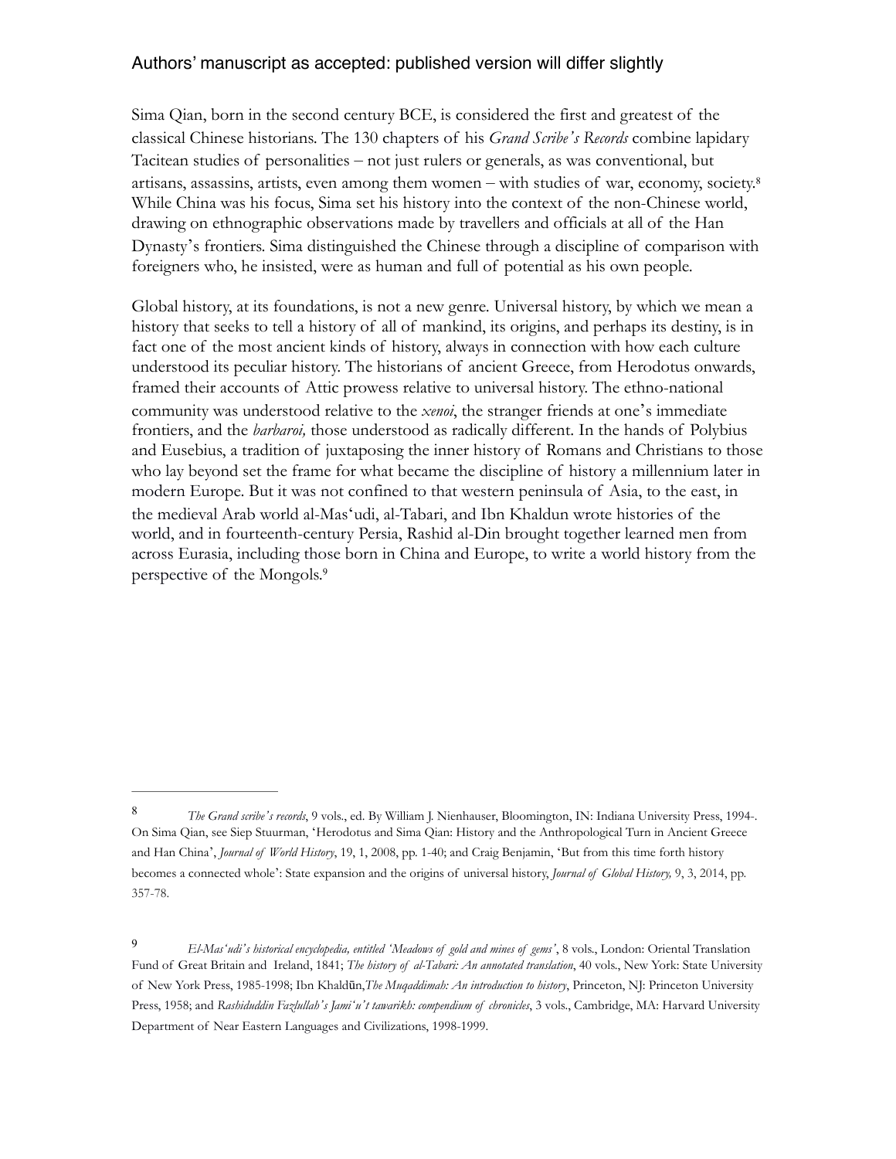Sima Qian, born in the second century BCE, is considered the first and greatest of the classical Chinese historians. The 130 chapters of his *Grand Scribe's Records* combine lapidary Tacitean studies of personalities – not just rulers or generals, as was conventional, but artisans, assassins, artists, even among them women – with studies of war, economy, society.<sup>8</sup> While China was his focus, Sima set his history into the context of the non-Chinese world, drawing on ethnographic observations made by travellers and officials at all of the Han Dynasty's frontiers. Sima distinguished the Chinese through a discipline of comparison with foreigners who, he insisted, were as human and full of potential as his own people.

Global history, at its foundations, is not a new genre. Universal history, by which we mean a history that seeks to tell a history of all of mankind, its origins, and perhaps its destiny, is in fact one of the most ancient kinds of history, always in connection with how each culture understood its peculiar history. The historians of ancient Greece, from Herodotus onwards, framed their accounts of Attic prowess relative to universal history. The ethno-national community was understood relative to the *xenoi*, the stranger friends at one's immediate frontiers, and the *barbaroi,* those understood as radically different. In the hands of Polybius and Eusebius, a tradition of juxtaposing the inner history of Romans and Christians to those who lay beyond set the frame for what became the discipline of history a millennium later in modern Europe. But it was not confined to that western peninsula of Asia, to the east, in the medieval Arab world al-Mas'udi, al-Tabari, and Ibn Khaldun wrote histories of the world, and in fourteenth-century Persia, Rashid al-Din brought together learned men from across Eurasia, including those born in China and Europe, to write a world history from the perspective of the Mongols.<sup>9</sup>

*The Grand scribe's records*, 9 vols., ed. By William J. Nienhauser, Bloomington, IN: Indiana University Press, 1994-. <sup>8</sup> On Sima Qian, see Siep Stuurman, 'Herodotus and Sima Qian: History and the Anthropological Turn in Ancient Greece and Han China', *Journal of World History*, 19, 1, 2008, pp. 1-40; and Craig Benjamin, 'But from this time forth history becomes a connected whole': State expansion and the origins of universal history, *Journal of Global History,* 9, 3, 2014, pp. 357-78.

*El-Mas'udi's historical encyclopedia, entitled 'Meadows of gold and mines of gems'*, 8 vols., London: Oriental Translation <sup>9</sup> Fund of Great Britain and Ireland, 1841; *The history of al-Tabari: An annotated translation*, 40 vols., New York: State University of New York Press, 1985-1998; Ibn Khaldūn,*The Muqaddimah: An introduction to history*, Princeton, NJ: Princeton University Press, 1958; and *Rashiduddin Fazlullah's Jamiʻu't tawarikh: compendium of chronicles*, 3 vols., Cambridge, MA: Harvard University Department of Near Eastern Languages and Civilizations, 1998-1999.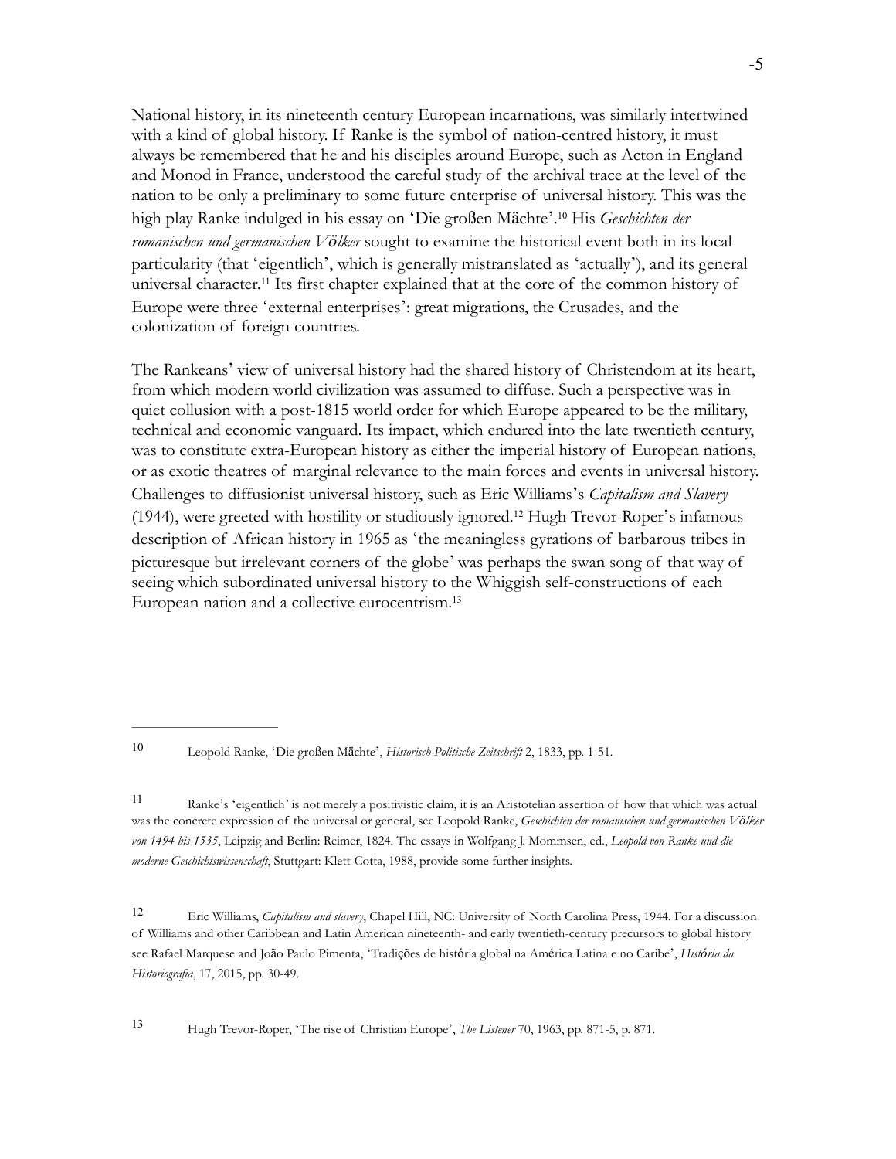National history, in its nineteenth century European incarnations, was similarly intertwined with a kind of global history. If Ranke is the symbol of nation-centred history, it must always be remembered that he and his disciples around Europe, such as Acton in England and Monod in France, understood the careful study of the archival trace at the level of the nation to be only a preliminary to some future enterprise of universal history. This was the high play Ranke indulged in his essay on 'Die großen Mächte'.<sup>10</sup> His *Geschichten der romanischen und germanischen Völker* sought to examine the historical event both in its local particularity (that 'eigentlich', which is generally mistranslated as 'actually'), and its general universal character.<sup>11</sup> Its first chapter explained that at the core of the common history of Europe were three 'external enterprises': great migrations, the Crusades, and the colonization of foreign countries.

The Rankeans' view of universal history had the shared history of Christendom at its heart, from which modern world civilization was assumed to diffuse. Such a perspective was in quiet collusion with a post-1815 world order for which Europe appeared to be the military, technical and economic vanguard. Its impact, which endured into the late twentieth century, was to constitute extra-European history as either the imperial history of European nations, or as exotic theatres of marginal relevance to the main forces and events in universal history. Challenges to diffusionist universal history, such as Eric Williams's *Capitalism and Slavery*  $(1944)$ , were greeted with hostility or studiously ignored.<sup>12</sup> Hugh Trevor-Roper's infamous description of African history in 1965 as 'the meaningless gyrations of barbarous tribes in picturesque but irrelevant corners of the globe' was perhaps the swan song of that way of seeing which subordinated universal history to the Whiggish self-constructions of each European nation and a collective eurocentrism.<sup>13</sup>

Ranke's 'eigentlich' is not merely a positivistic claim, it is an Aristotelian assertion of how that which was actual <sup>11</sup> was the concrete expression of the universal or general, see Leopold Ranke, *Geschichten der romanischen und germanischen Völker von 1494 bis 1535*, Leipzig and Berlin: Reimer, 1824. The essays in Wolfgang J. Mommsen, ed., *Leopold von Ranke und die moderne Geschichtswissenschaft*, Stuttgart: Klett-Cotta, 1988, provide some further insights.

Eric Williams, *Capitalism and slavery*, Chapel Hill, NC: University of North Carolina Press, 1944. For a discussion <sup>12</sup> of Williams and other Caribbean and Latin American nineteenth- and early twentieth-century precursors to global history see Rafael Marquese and João Paulo Pimenta, 'Tradições de história global na América Latina e no Caribe', *História da Historiografia*, 17, 2015, pp. 30-49.

Hugh Trevor-Roper, 'The rise of Christian Europe', *The Listener* 70, 1963, pp. 871-5, p. 871. <sup>13</sup>

Leopold Ranke, 'Die großen Mächte', *Historisch-Politische Zeitschrift* 2, 1833, pp. 1-51. <sup>10</sup>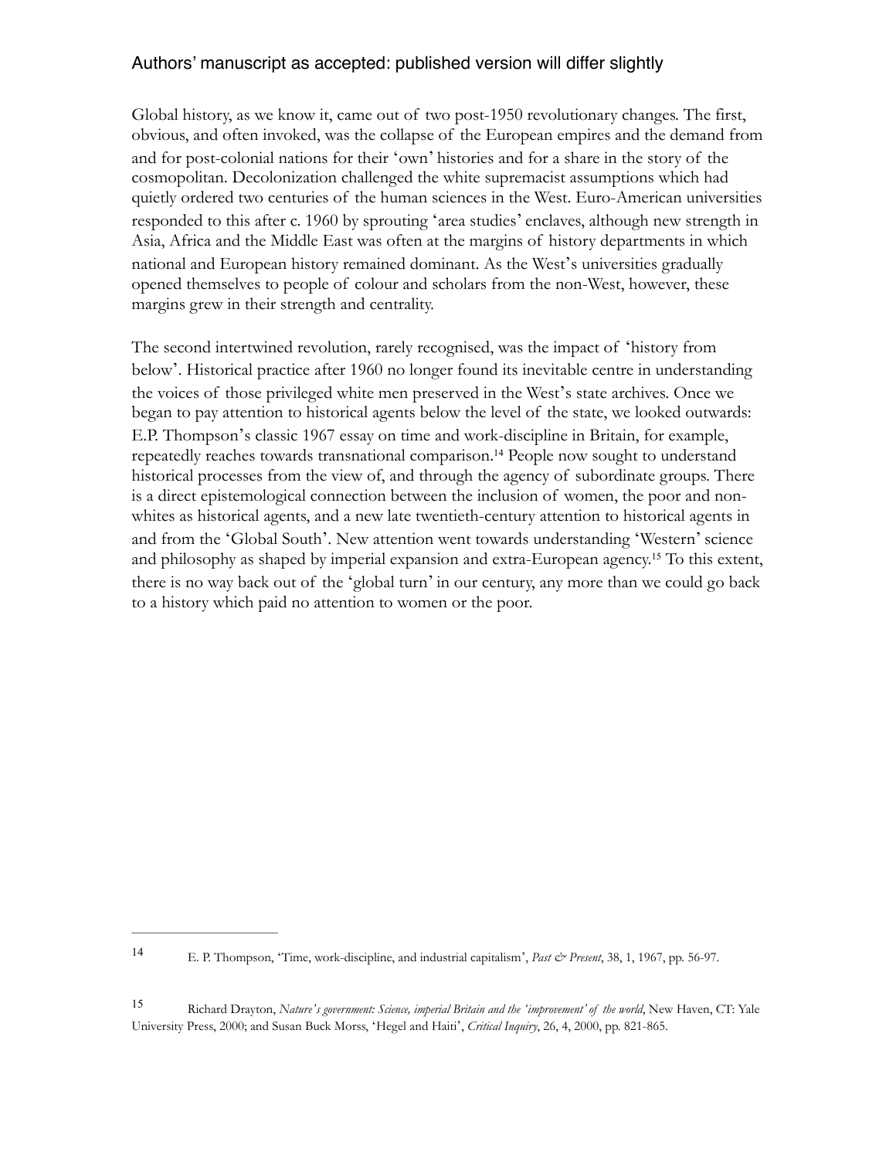Global history, as we know it, came out of two post-1950 revolutionary changes. The first, obvious, and often invoked, was the collapse of the European empires and the demand from and for post-colonial nations for their 'own' histories and for a share in the story of the cosmopolitan. Decolonization challenged the white supremacist assumptions which had quietly ordered two centuries of the human sciences in the West. Euro-American universities responded to this after c. 1960 by sprouting 'area studies' enclaves, although new strength in Asia, Africa and the Middle East was often at the margins of history departments in which national and European history remained dominant. As the West's universities gradually opened themselves to people of colour and scholars from the non-West, however, these margins grew in their strength and centrality.

The second intertwined revolution, rarely recognised, was the impact of 'history from below'. Historical practice after 1960 no longer found its inevitable centre in understanding the voices of those privileged white men preserved in the West's state archives. Once we began to pay attention to historical agents below the level of the state, we looked outwards: E.P. Thompson's classic 1967 essay on time and work-discipline in Britain, for example, repeatedly reaches towards transnational comparison.<sup>14</sup> People now sought to understand historical processes from the view of, and through the agency of subordinate groups. There is a direct epistemological connection between the inclusion of women, the poor and nonwhites as historical agents, and a new late twentieth-century attention to historical agents in and from the 'Global South'. New attention went towards understanding 'Western' science and philosophy as shaped by imperial expansion and extra-European agency.<sup>15</sup> To this extent, there is no way back out of the 'global turn' in our century, any more than we could go back to a history which paid no attention to women or the poor.

E. P. Thompson, 'Time, work-discipline, and industrial capitalism', *Past & Present*, 38, 1, 1967, pp. 56-97. <sup>14</sup>

Richard Drayton, *Nature's government: Science, imperial Britain and the 'improvement' of the world*, New Haven, CT: Yale <sup>15</sup> University Press, 2000; and Susan Buck Morss, 'Hegel and Haiti', *Critical Inquiry*, 26, 4, 2000, pp. 821-865.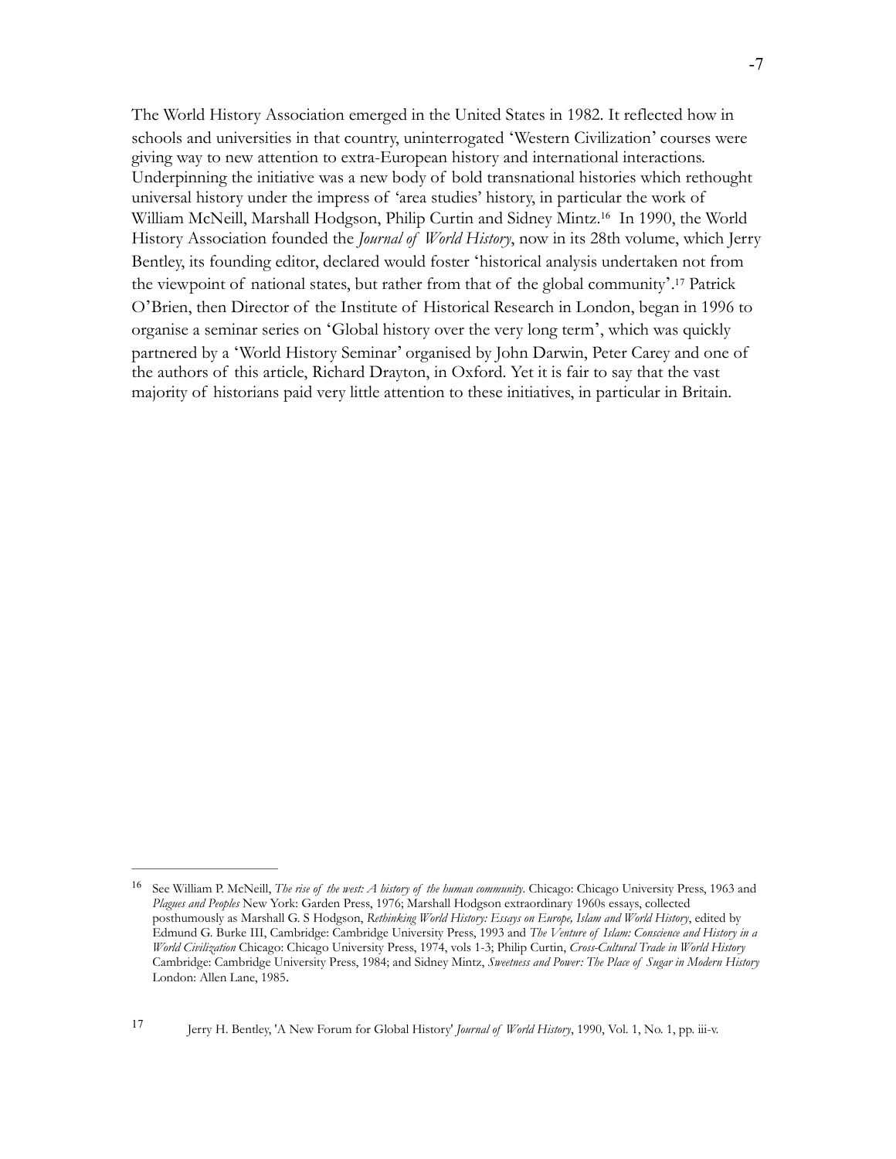The World History Association emerged in the United States in 1982. It reflected how in schools and universities in that country, uninterrogated 'Western Civilization' courses were giving way to new attention to extra-European history and international interactions. Underpinning the initiative was a new body of bold transnational histories which rethought universal history under the impress of 'area studies' history, in particular the work of William McNeill, Marshall Hodgson, Philip Curtin and Sidney Mintz.<sup>16</sup> In 1990, the World History Association founded the *Journal of World History*, now in its 28th volume, which Jerry Bentley, its founding editor, declared would foster 'historical analysis undertaken not from the viewpoint of national states, but rather from that of the global community'.<sup>17</sup> Patrick O'Brien, then Director of the Institute of Historical Research in London, began in 1996 to organise a seminar series on 'Global history over the very long term', which was quickly partnered by a 'World History Seminar' organised by John Darwin, Peter Carey and one of the authors of this article, Richard Drayton, in Oxford. Yet it is fair to say that the vast majority of historians paid very little attention to these initiatives, in particular in Britain.

Jerry H. Bentley, 'A New Forum for Global History' *Journal of World History*, 1990, Vol. 1, No. 1, pp. iii-v. <sup>17</sup>

<sup>&</sup>lt;sup>16</sup> See William P. McNeill, *The rise of the west: A history of the human community*. Chicago: Chicago University Press, 1963 and *Plagues and Peoples* New York: Garden Press, 1976; Marshall Hodgson extraordinary 1960s essays, collected posthumously as Marshall G. S Hodgson, *Rethinking World History: Essays on Europe, Islam and World History*, edited by Edmund G. Burke III, Cambridge: Cambridge University Press, 1993 and *The Venture of Islam: Conscience and History in a World Civilization* Chicago: Chicago University Press, 1974, vols 1-3; Philip Curtin, *Cross-Cultural Trade in World History* Cambridge: Cambridge University Press, 1984; and Sidney Mintz, *Sweetness and Power: The Place of Sugar in Modern History*  London: Allen Lane, 1985.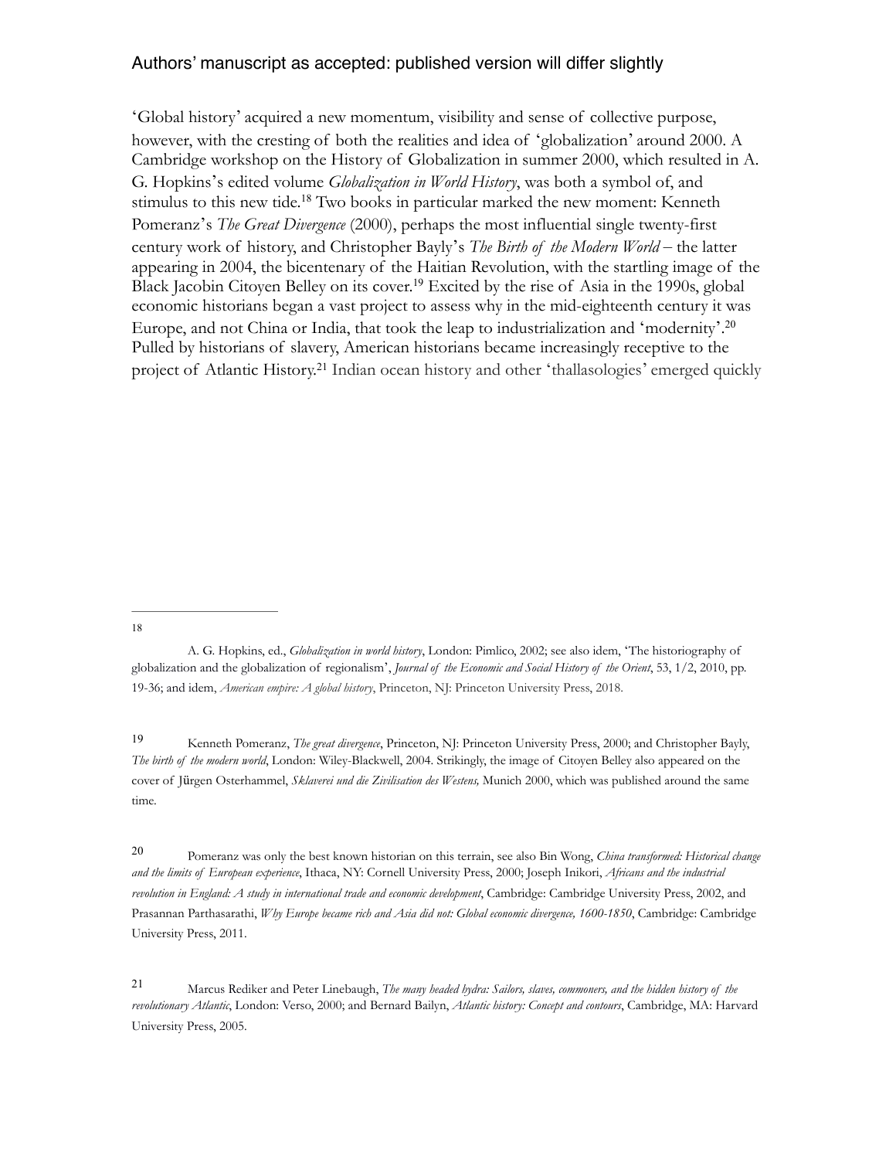'Global history' acquired a new momentum, visibility and sense of collective purpose, however, with the cresting of both the realities and idea of 'globalization' around 2000. A Cambridge workshop on the History of Globalization in summer 2000, which resulted in A. G. Hopkins's edited volume *Globalization in World History*, was both a symbol of, and stimulus to this new tide.<sup>18</sup> Two books in particular marked the new moment: Kenneth Pomeranz's *The Great Divergence* (2000), perhaps the most influential single twenty-first century work of history, and Christopher Bayly's *The Birth of the Modern World* – the latter appearing in 2004, the bicentenary of the Haitian Revolution, with the startling image of the Black Jacobin Citoyen Belley on its cover.<sup>19</sup> Excited by the rise of Asia in the 1990s, global economic historians began a vast project to assess why in the mid-eighteenth century it was Europe, and not China or India, that took the leap to industrialization and 'modernity'. 20 Pulled by historians of slavery, American historians became increasingly receptive to the project of Atlantic History.<sup>21</sup> Indian ocean history and other 'thallasologies' emerged quickly

18

 Pomeranz was only the best known historian on this terrain, see also Bin Wong, *China transformed: Historical change* <sup>20</sup> *and the limits of European experience*, Ithaca, NY: Cornell University Press, 2000; Joseph Inikori, *Africans and the industrial revolution in England: A study in international trade and economic development*, Cambridge: Cambridge University Press, 2002, and Prasannan Parthasarathi, *Why Europe became rich and Asia did not: Global economic divergence, 1600-1850*, Cambridge: Cambridge University Press, 2011.

A. G. Hopkins, ed., *Globalization in world history*, London: Pimlico, 2002; see also idem, 'The historiography of globalization and the globalization of regionalism', *Journal of the Economic and Social History of the Orient*, 53, 1/2, 2010, pp. 19-36; and idem, *American empire: A global history*, Princeton, NJ: Princeton University Press, 2018.

Kenneth Pomeranz, *The great divergence*, Princeton, NJ: Princeton University Press, 2000; and Christopher Bayly, <sup>19</sup> *The birth of the modern world*, London: Wiley-Blackwell, 2004. Strikingly, the image of Citoyen Belley also appeared on the cover of Jürgen Osterhammel, *Sklaverei und die Zivilisation des Westens,* Munich 2000, which was published around the same time.

Marcus Rediker and Peter Linebaugh, *The many headed hydra: Sailors, slaves, commoners, and the hidden history of the* <sup>21</sup> *revolutionary Atlantic*, London: Verso, 2000; and Bernard Bailyn, *Atlantic history: Concept and contours*, Cambridge, MA: Harvard University Press, 2005.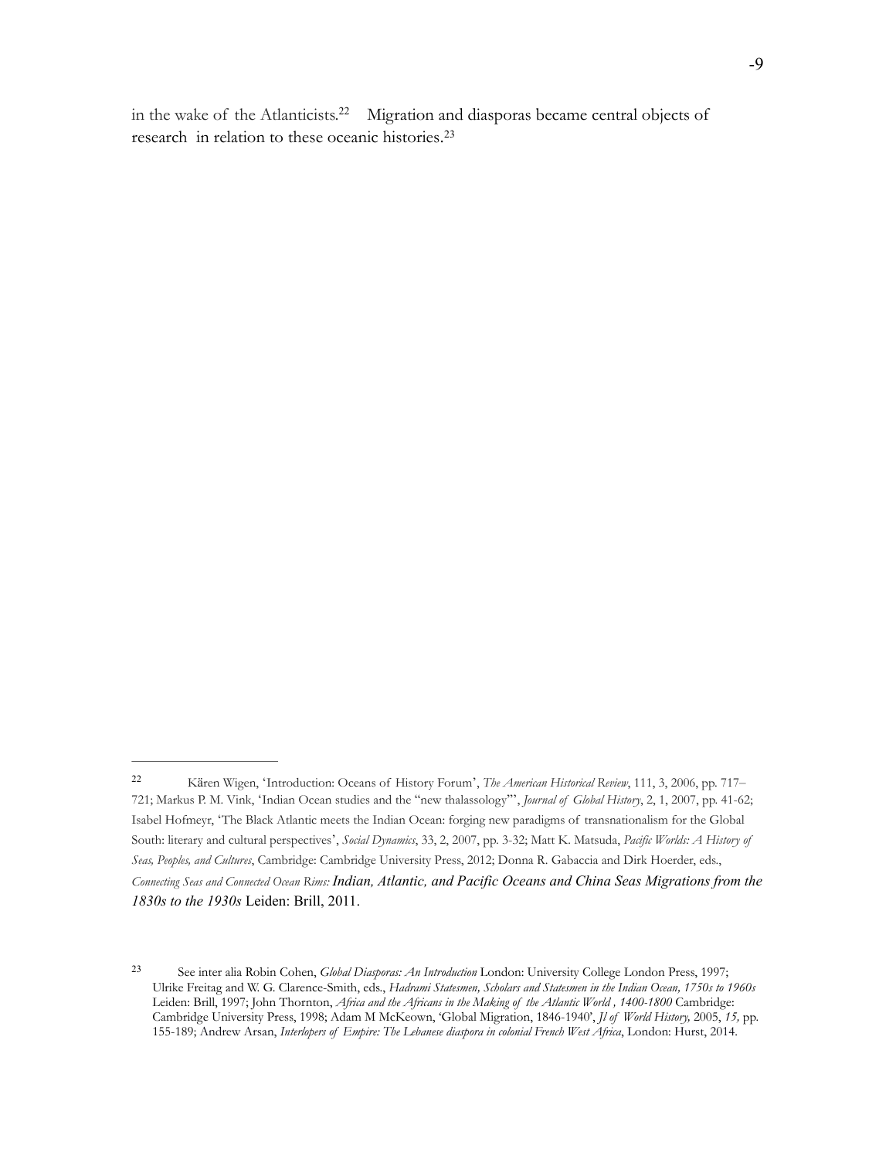in the wake of the Atlanticists.<sup>22</sup> Migration and diasporas became central objects of research in relation to these oceanic histories. 23

Kären Wigen, 'Introduction: Oceans of History Forum', *The American Historical Review*, 111, 3, 2006, pp. 717– <sup>22</sup> 721; Markus P. M. Vink, 'Indian Ocean studies and the "new thalassology"', *Journal of Global History*, 2, 1, 2007, pp. 41-62; Isabel Hofmeyr, 'The Black Atlantic meets the Indian Ocean: forging new paradigms of transnationalism for the Global South: literary and cultural perspectives', *Social Dynamics*, 33, 2, 2007, pp. 3-32; Matt K. Matsuda, *Pacific Worlds: A History of Seas, Peoples, and Cultures*, Cambridge: Cambridge University Press, 2012; Donna R. Gabaccia and Dirk Hoerder, eds., *Connecting Seas and Connected Ocean Rims: Indian, Atlantic, and Pacific Oceans and China Seas Migrations from the 1830s to the 1930s* Leiden: Brill, 2011.

See inter alia Robin Cohen, *Global Diasporas: An Introduction* London: University College London Press, 1997; <sup>23</sup> Ulrike Freitag and W. G. Clarence-Smith, eds., *Hadrami Statesmen, Scholars and Statesmen in the Indian Ocean, 1750s to 1960s*  Leiden: Brill, 1997; John Thornton, *Africa and the Africans in the Making of the Atlantic World , 1400-1800* Cambridge: Cambridge University Press, 1998; Adam M McKeown, 'Global Migration, 1846-1940', *Jl of World History,* 2005, *15,* pp. 155-189; Andrew Arsan, *Interlopers of Empire: The Lebanese diaspora in colonial French West Africa*, London: Hurst, 2014.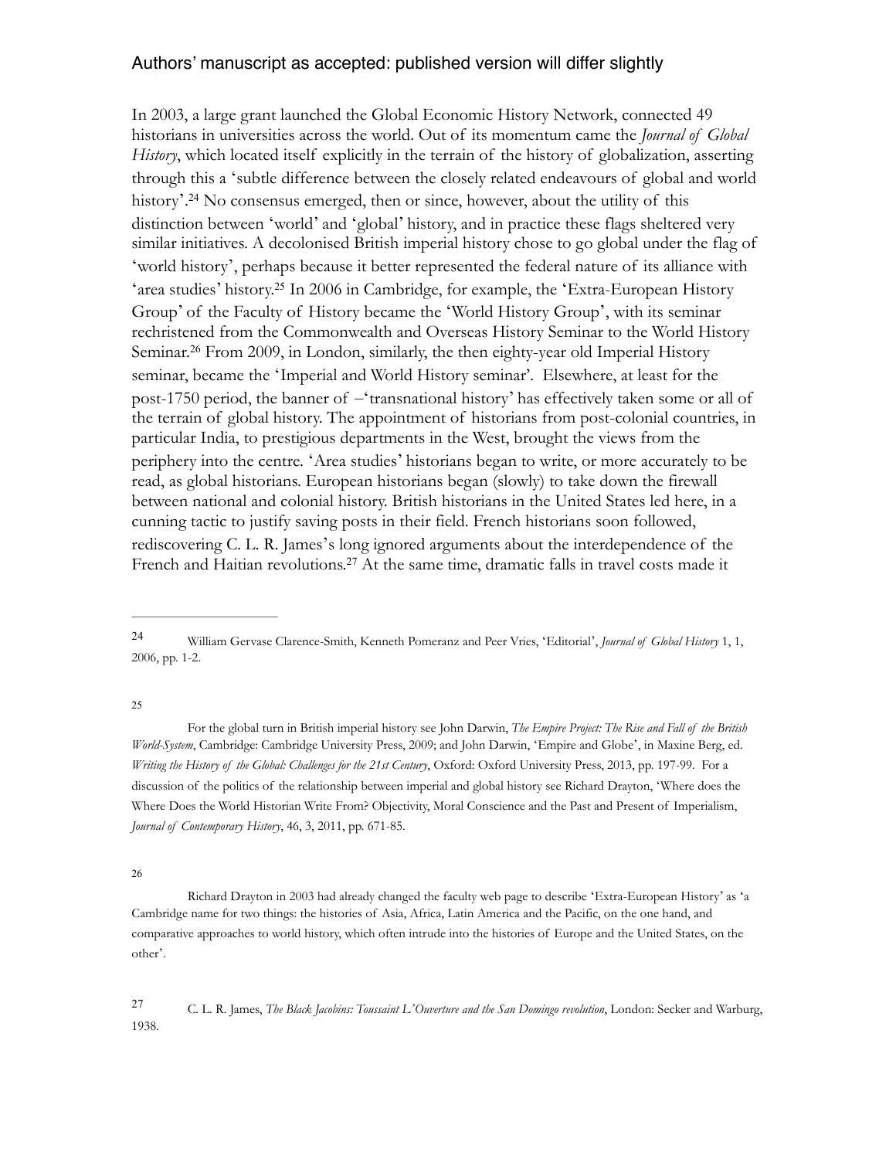In 2003, a large grant launched the Global Economic History Network, connected 49 historians in universities across the world. Out of its momentum came the *Journal of Global History*, which located itself explicitly in the terrain of the history of globalization, asserting through this a 'subtle difference between the closely related endeavours of global and world history'.<sup>24</sup> No consensus emerged, then or since, however, about the utility of this distinction between 'world' and 'global' history, and in practice these flags sheltered very similar initiatives. A decolonised British imperial history chose to go global under the flag of 'world history', perhaps because it better represented the federal nature of its alliance with 'area studies' history.<sup>25</sup> In 2006 in Cambridge, for example, the 'Extra-European History Group' of the Faculty of History became the 'World History Group', with its seminar rechristened from the Commonwealth and Overseas History Seminar to the World History Seminar.<sup>26</sup> From 2009, in London, similarly, the then eighty-year old Imperial History seminar, became the 'Imperial and World History seminar'. Elsewhere, at least for the post-1750 period, the banner of –'transnational history' has effectively taken some or all of the terrain of global history. The appointment of historians from post-colonial countries, in particular India, to prestigious departments in the West, brought the views from the periphery into the centre. 'Area studies' historians began to write, or more accurately to be read, as global historians. European historians began (slowly) to take down the firewall between national and colonial history. British historians in the United States led here, in a cunning tactic to justify saving posts in their field. French historians soon followed, rediscovering C. L. R. James's long ignored arguments about the interdependence of the French and Haitian revolutions.<sup>27</sup> At the same time, dramatic falls in travel costs made it

25

 For the global turn in British imperial history see John Darwin, *The Empire Project: The Rise and Fall of the British World-System*, Cambridge: Cambridge University Press, 2009; and John Darwin, 'Empire and Globe', in Maxine Berg, ed. *Writing the History of the Global: Challenges for the 21st Century*, Oxford: Oxford University Press, 2013, pp. 197-99. For a discussion of the politics of the relationship between imperial and global history see Richard Drayton, 'Where does the Where Does the World Historian Write From? Objectivity, Moral Conscience and the Past and Present of Imperialism, *Journal of Contemporary History*, 46, 3, 2011, pp. 671-85.

26

 Richard Drayton in 2003 had already changed the faculty web page to describe 'Extra-European History' as 'a Cambridge name for two things: the histories of Asia, Africa, Latin America and the Pacific, on the one hand, and comparative approaches to world history, which often intrude into the histories of Europe and the United States, on the other'.

C. L. R. James, *The Black Jacobins: Toussaint L'Ouverture and the San Domingo revolution*, London: Secker and Warburg, <sup>27</sup> 1938.

William Gervase Clarence-Smith, Kenneth Pomeranz and Peer Vries, 'Editorial', *Journal of Global History* 1, 1, <sup>24</sup> 2006, pp. 1-2.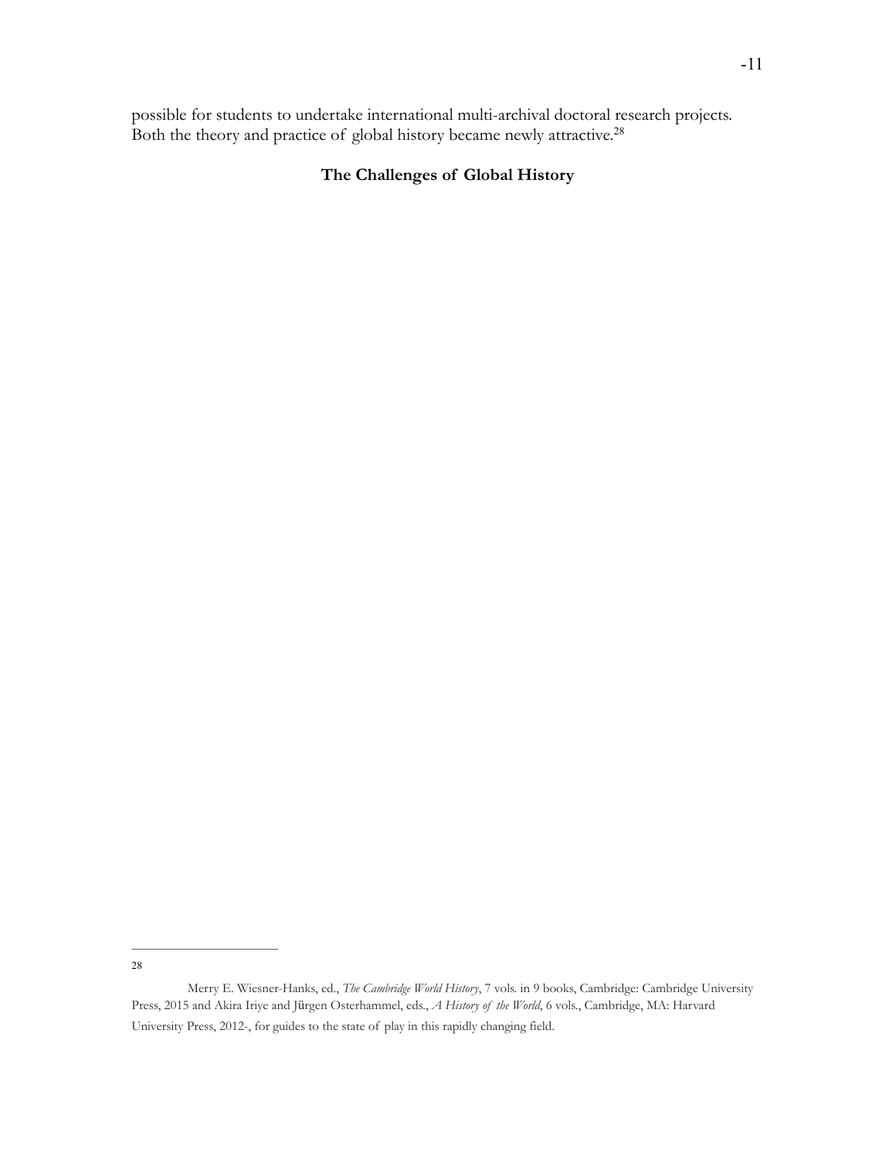possible for students to undertake international multi-archival doctoral research projects. Both the theory and practice of global history became newly attractive.<sup>28</sup>

# **The Challenges of Global History**

28

Merry E. Wiesner-Hanks, ed., *The Cambridge World History*, 7 vols. in 9 books, Cambridge: Cambridge University Press, 2015 and Akira Iriye and Jürgen Osterhammel, eds., *A History of the World*, 6 vols., Cambridge, MA: Harvard University Press, 2012-, for guides to the state of play in this rapidly changing field.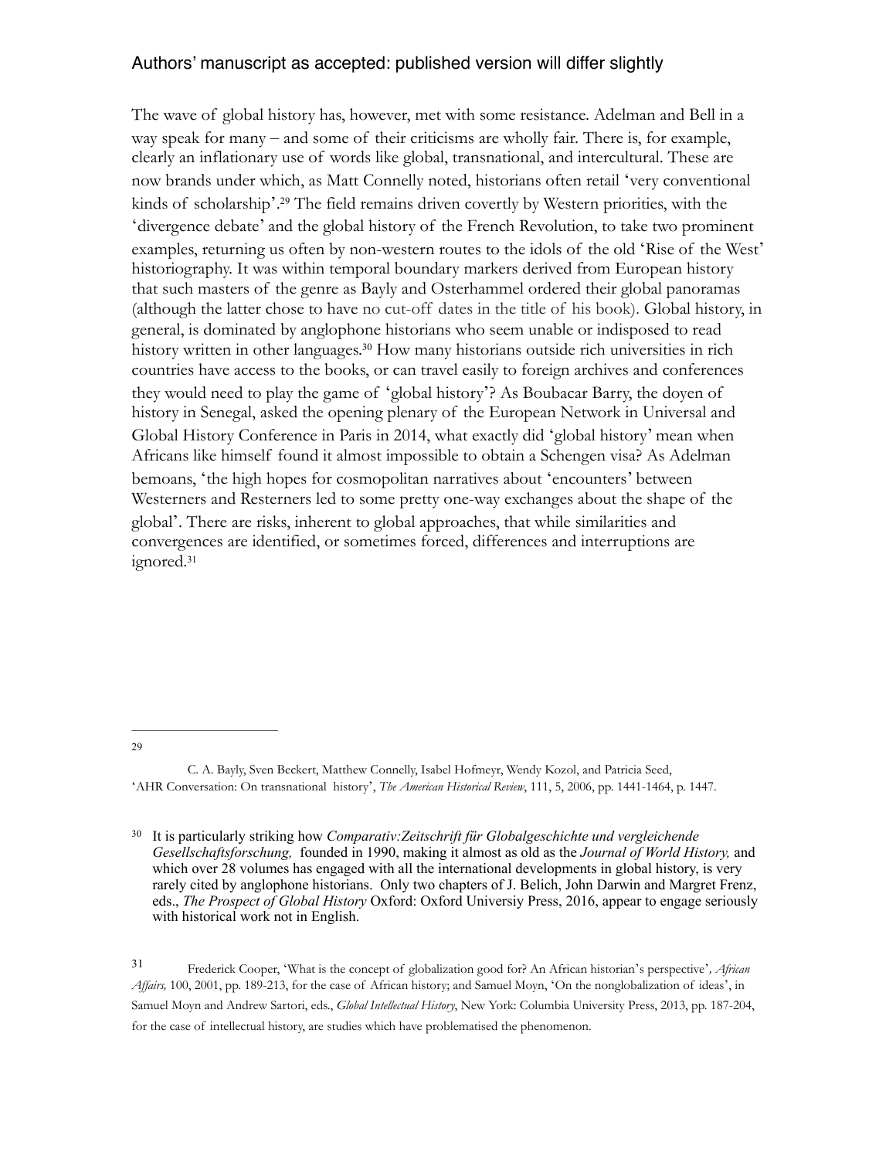The wave of global history has, however, met with some resistance. Adelman and Bell in a way speak for many – and some of their criticisms are wholly fair. There is, for example, clearly an inflationary use of words like global, transnational, and intercultural. These are now brands under which, as Matt Connelly noted, historians often retail 'very conventional kinds of scholarship'.<sup>29</sup> The field remains driven covertly by Western priorities, with the 'divergence debate' and the global history of the French Revolution, to take two prominent examples, returning us often by non-western routes to the idols of the old 'Rise of the West' historiography. It was within temporal boundary markers derived from European history that such masters of the genre as Bayly and Osterhammel ordered their global panoramas (although the latter chose to have no cut-off dates in the title of his book). Global history, in general, is dominated by anglophone historians who seem unable or indisposed to read history written in other languages.<sup>30</sup> How many historians outside rich universities in rich countries have access to the books, or can travel easily to foreign archives and conferences they would need to play the game of 'global history'? As Boubacar Barry, the doyen of history in Senegal, asked the opening plenary of the European Network in Universal and Global History Conference in Paris in 2014, what exactly did 'global history' mean when Africans like himself found it almost impossible to obtain a Schengen visa? As Adelman bemoans, 'the high hopes for cosmopolitan narratives about 'encounters' between Westerners and Resterners led to some pretty one-way exchanges about the shape of the global'. There are risks, inherent to global approaches, that while similarities and convergences are identified, or sometimes forced, differences and interruptions are ignored.<sup>31</sup>

29

 It is particularly striking how *Comparativ:Zeitschrift für Globalgeschichte und vergleichende* <sup>30</sup> *Gesellschaftsforschung,* founded in 1990, making it almost as old as the *Journal of World History,* and which over 28 volumes has engaged with all the international developments in global history, is very rarely cited by anglophone historians. Only two chapters of J. Belich, John Darwin and Margret Frenz, eds., *The Prospect of Global History* Oxford: Oxford Universiy Press, 2016, appear to engage seriously with historical work not in English.

Frederick Cooper, 'What is the concept of globalization good for? An African historian's perspective'*, African* <sup>31</sup> *Affairs,* 100, 2001, pp. 189-213, for the case of African history; and Samuel Moyn, 'On the nonglobalization of ideas', in Samuel Moyn and Andrew Sartori, eds., *Global Intellectual History*, New York: Columbia University Press, 2013, pp. 187-204, for the case of intellectual history, are studies which have problematised the phenomenon.

C. A. Bayly, Sven Beckert, Matthew Connelly, Isabel Hofmeyr, Wendy Kozol, and Patricia Seed, 'AHR Conversation: On transnational history', *The American Historical Review*, 111, 5, 2006, pp. 1441-1464, p. 1447.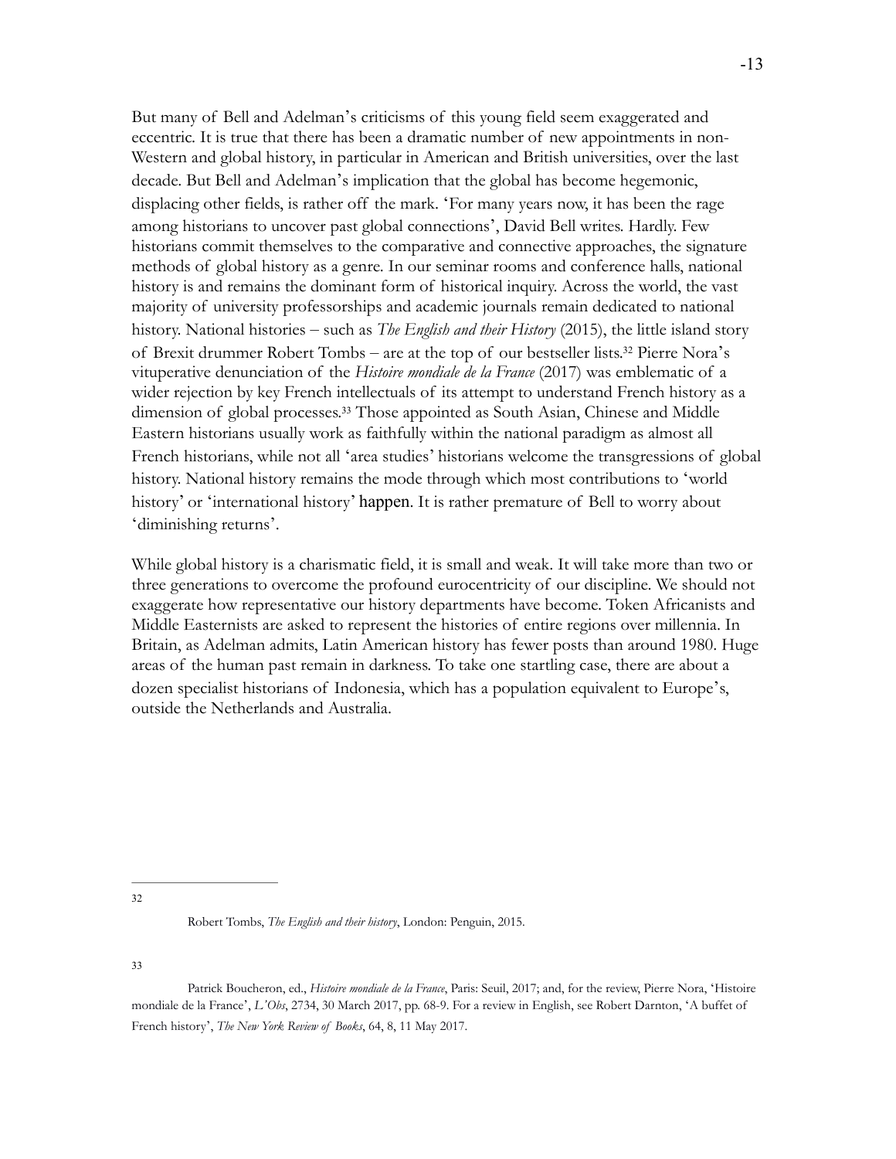But many of Bell and Adelman's criticisms of this young field seem exaggerated and eccentric. It is true that there has been a dramatic number of new appointments in non-Western and global history, in particular in American and British universities, over the last decade. But Bell and Adelman's implication that the global has become hegemonic, displacing other fields, is rather off the mark. 'For many years now, it has been the rage among historians to uncover past global connections', David Bell writes. Hardly. Few historians commit themselves to the comparative and connective approaches, the signature methods of global history as a genre. In our seminar rooms and conference halls, national history is and remains the dominant form of historical inquiry. Across the world, the vast majority of university professorships and academic journals remain dedicated to national history. National histories – such as *The English and their History* (2015), the little island story of Brexit drummer Robert Tombs – are at the top of our bestseller lists.<sup>32</sup> Pierre Nora's vituperative denunciation of the *Histoire mondiale de la France* (2017) was emblematic of a wider rejection by key French intellectuals of its attempt to understand French history as a dimension of global processes.<sup>33</sup> Those appointed as South Asian, Chinese and Middle Eastern historians usually work as faithfully within the national paradigm as almost all French historians, while not all 'area studies' historians welcome the transgressions of global history. National history remains the mode through which most contributions to 'world history' or 'international history' happen. It is rather premature of Bell to worry about 'diminishing returns'.

While global history is a charismatic field, it is small and weak. It will take more than two or three generations to overcome the profound eurocentricity of our discipline. We should not exaggerate how representative our history departments have become. Token Africanists and Middle Easternists are asked to represent the histories of entire regions over millennia. In Britain, as Adelman admits, Latin American history has fewer posts than around 1980. Huge areas of the human past remain in darkness. To take one startling case, there are about a dozen specialist historians of Indonesia, which has a population equivalent to Europe's, outside the Netherlands and Australia.

33

<sup>32</sup>

Robert Tombs, *The English and their history*, London: Penguin, 2015.

Patrick Boucheron, ed., *Histoire mondiale de la France*, Paris: Seuil, 2017; and, for the review, Pierre Nora, 'Histoire mondiale de la France', *L'Obs*, 2734, 30 March 2017, pp. 68-9. For a review in English, see Robert Darnton, 'A buffet of French history', *The New York Review of Books*, 64, 8, 11 May 2017.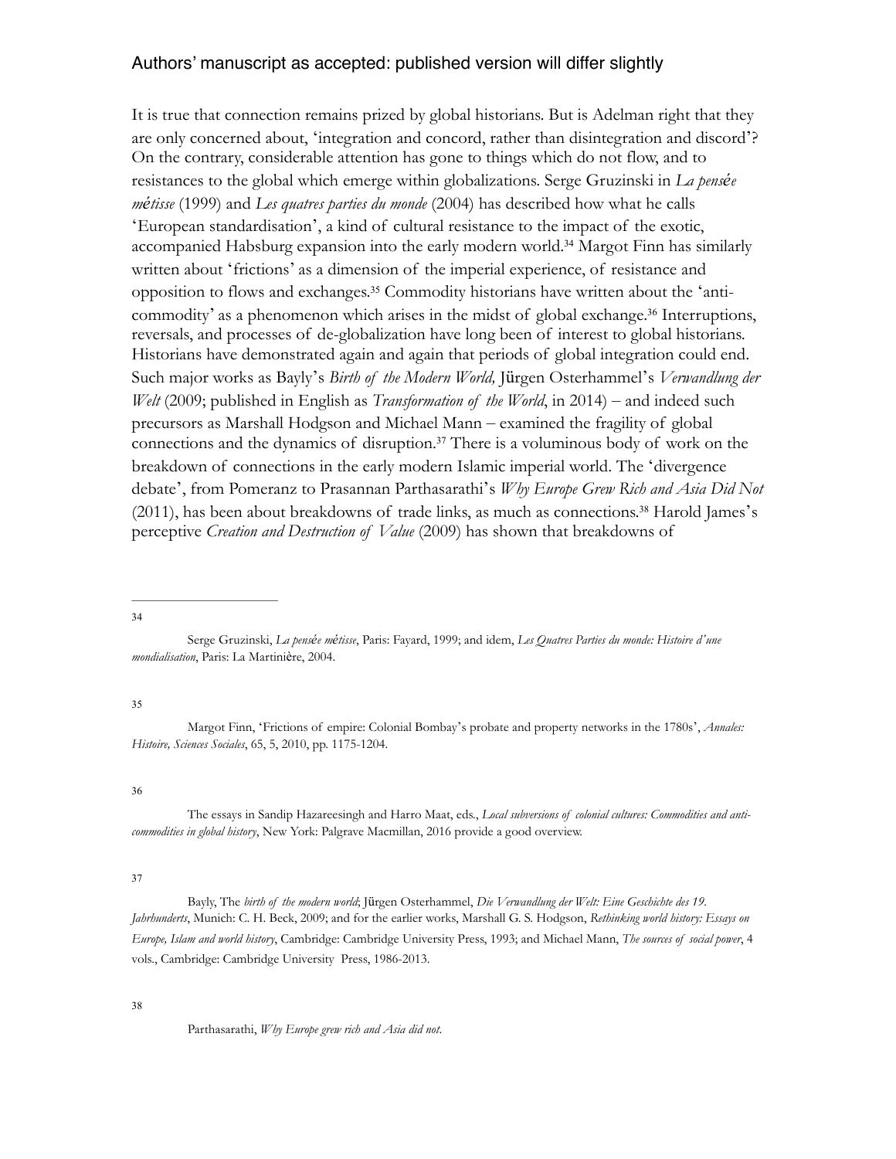It is true that connection remains prized by global historians. But is Adelman right that they are only concerned about, 'integration and concord, rather than disintegration and discord'? On the contrary, considerable attention has gone to things which do not flow, and to resistances to the global which emerge within globalizations. Serge Gruzinski in *La pensée métisse* (1999) and *Les quatres parties du monde* (2004) has described how what he calls 'European standardisation', a kind of cultural resistance to the impact of the exotic, accompanied Habsburg expansion into the early modern world.<sup>34</sup> Margot Finn has similarly written about 'frictions' as a dimension of the imperial experience, of resistance and opposition to flows and exchanges.<sup>35</sup> Commodity historians have written about the 'anticommodity' as a phenomenon which arises in the midst of global exchange.<sup>36</sup> Interruptions, reversals, and processes of de-globalization have long been of interest to global historians. Historians have demonstrated again and again that periods of global integration could end. Such major works as Bayly's *Birth of the Modern World,* Jürgen Osterhammel's *Verwandlung der Welt* (2009; published in English as *Transformation of the World*, in 2014) – and indeed such precursors as Marshall Hodgson and Michael Mann – examined the fragility of global connections and the dynamics of disruption.<sup>37</sup> There is a voluminous body of work on the breakdown of connections in the early modern Islamic imperial world. The 'divergence debate', from Pomeranz to Prasannan Parthasarathi's *Why Europe Grew Rich and Asia Did Not*   $(2011)$ , has been about breakdowns of trade links, as much as connections.<sup>38</sup> Harold James's perceptive *Creation and Destruction of Value* (2009) has shown that breakdowns of

34

#### 35

Margot Finn, 'Frictions of empire: Colonial Bombay's probate and property networks in the 1780s', *Annales: Histoire, Sciences Sociales*, 65, 5, 2010, pp. 1175-1204.

36

The essays in Sandip Hazareesingh and Harro Maat, eds., *Local subversions of colonial cultures: Commodities and anticommodities in global history*, New York: Palgrave Macmillan, 2016 provide a good overview.

#### 37

 Bayly, The *birth of the modern world*; Jürgen Osterhammel, *Die Verwandlung der Welt: Eine Geschichte des 19. Jahrhunderts*, Munich: C. H. Beck, 2009; and for the earlier works, Marshall G. S. Hodgson, *Rethinking world history: Essays on Europe, Islam and world history*, Cambridge: Cambridge University Press, 1993; and Michael Mann, *The sources of social power*, 4 vols., Cambridge: Cambridge University Press, 1986-2013.

#### 38

Parthasarathi, *Why Europe grew rich and Asia did not*.

Serge Gruzinski, *La pensée métisse*, Paris: Fayard, 1999; and idem, *Les Quatres Parties du monde: Histoire d'une mondialisation*, Paris: La Martinière, 2004.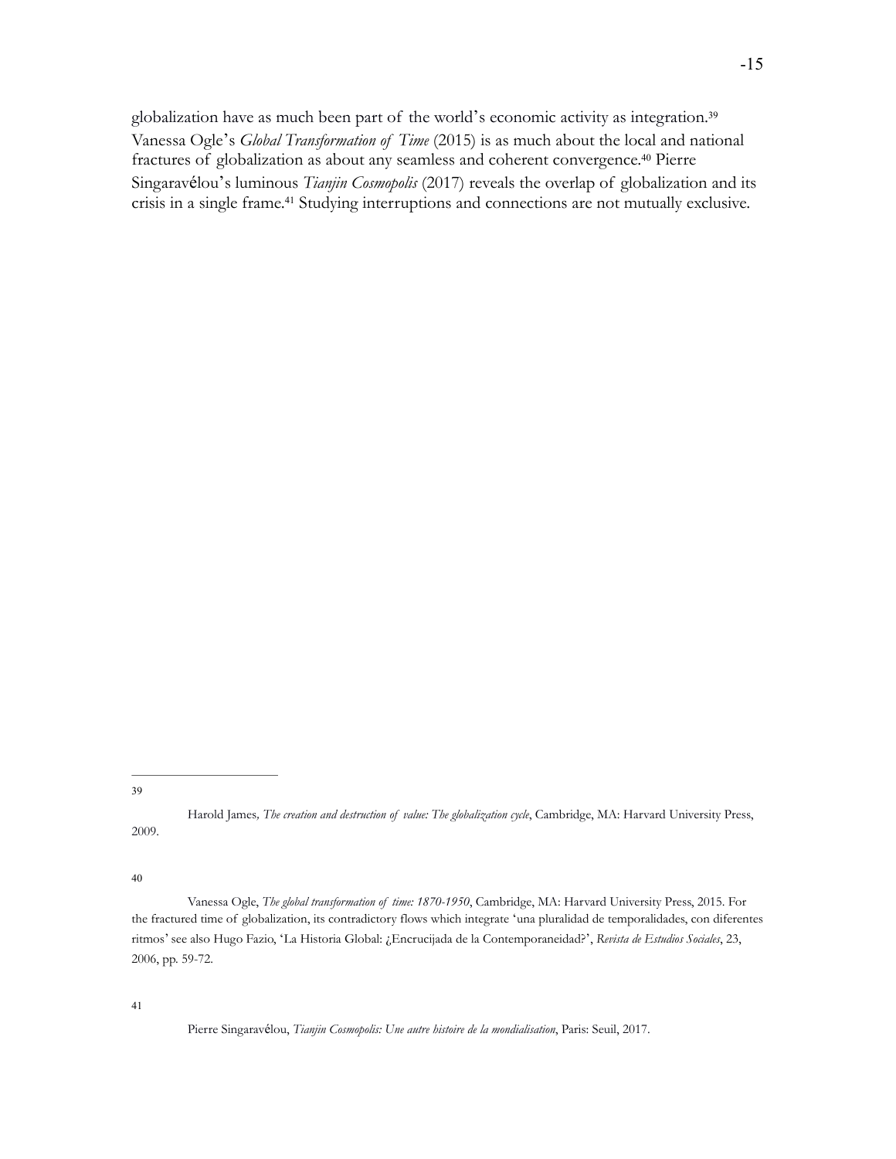globalization have as much been part of the world's economic activity as integration.<sup>39</sup> Vanessa Ogle's *Global Transformation of Time* (2015) is as much about the local and national fractures of globalization as about any seamless and coherent convergence.<sup>40</sup> Pierre Singaravélou's luminous *Tianjin Cosmopolis* (2017) reveals the overlap of globalization and its crisis in a single frame.<sup>41</sup> Studying interruptions and connections are not mutually exclusive.

39

Harold James*, The creation and destruction of value: The globalization cycle*, Cambridge, MA: Harvard University Press, 2009.

40

Vanessa Ogle, *The global transformation of time: 1870-1950*, Cambridge, MA: Harvard University Press, 2015. For the fractured time of globalization, its contradictory flows which integrate 'una pluralidad de temporalidades, con diferentes ritmos' see also Hugo Fazio, 'La Historia Global: ¿Encrucijada de la Contemporaneidad?', *Revista de Estudios Sociales*, 23, 2006, pp. 59-72.

41

Pierre Singaravélou, *Tianjin Cosmopolis: Une autre histoire de la mondialisation*, Paris: Seuil, 2017.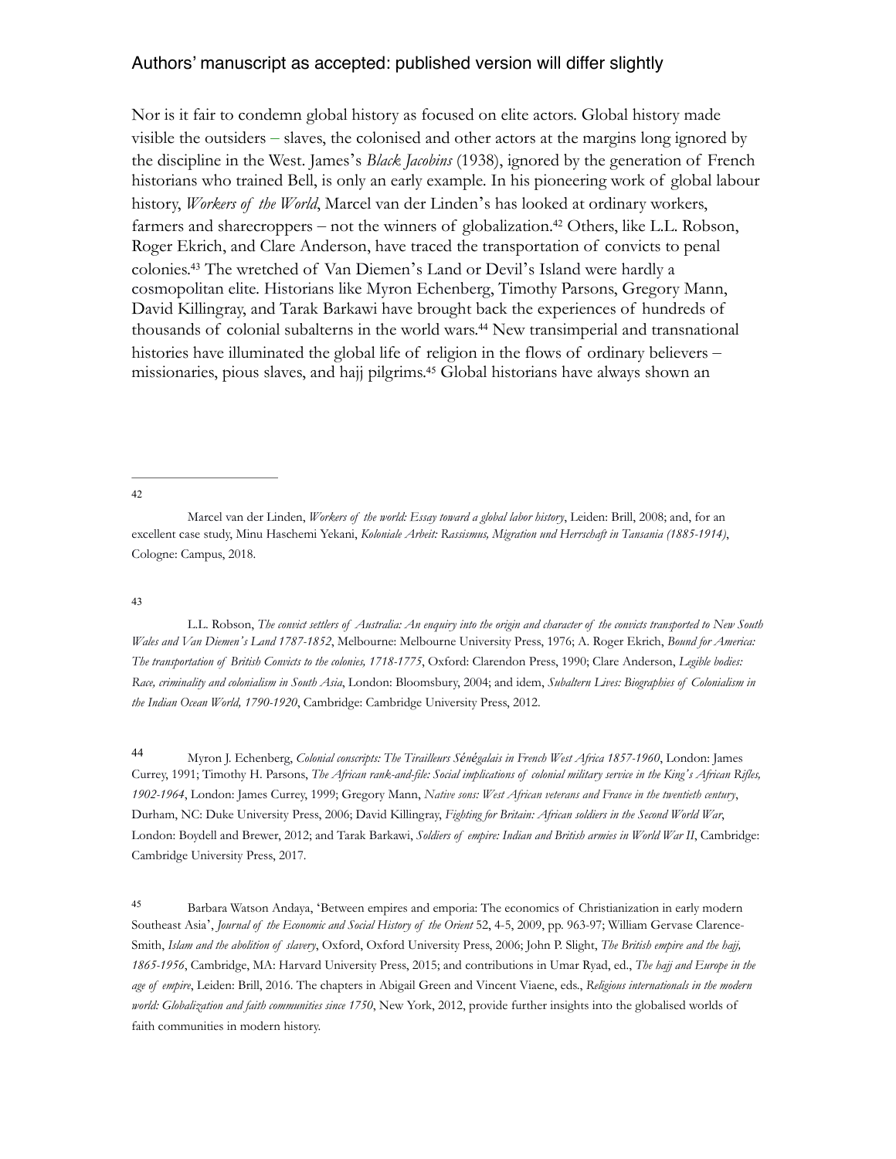Nor is it fair to condemn global history as focused on elite actors. Global history made visible the outsiders – slaves, the colonised and other actors at the margins long ignored by the discipline in the West. James's *Black Jacobins* (1938), ignored by the generation of French historians who trained Bell, is only an early example. In his pioneering work of global labour history, *Workers of the World*, Marcel van der Linden's has looked at ordinary workers, farmers and sharecroppers – not the winners of globalization.<sup>42</sup> Others, like L.L. Robson, Roger Ekrich, and Clare Anderson, have traced the transportation of convicts to penal colonies.<sup>43</sup> The wretched of Van Diemen's Land or Devil's Island were hardly a cosmopolitan elite. Historians like Myron Echenberg, Timothy Parsons, Gregory Mann, David Killingray, and Tarak Barkawi have brought back the experiences of hundreds of thousands of colonial subalterns in the world wars.<sup>44</sup> New transimperial and transnational histories have illuminated the global life of religion in the flows of ordinary believers – missionaries, pious slaves, and hajj pilgrims.<sup>45</sup> Global historians have always shown an

#### 42

Marcel van der Linden, *Workers of the world: Essay toward a global labor history*, Leiden: Brill, 2008; and, for an excellent case study, Minu Haschemi Yekani, *Koloniale Arbeit: Rassismus, Migration und Herrschaft in Tansania (1885-1914)*, Cologne: Campus, 2018.

#### 43

L.L. Robson, *The convict settlers of Australia: An enquiry into the origin and character of the convicts transported to New South Wales and Van Diemen's Land 1787-1852*, Melbourne: Melbourne University Press, 1976; A. Roger Ekrich, *Bound for America: The transportation of British Convicts to the colonies, 1718-1775*, Oxford: Clarendon Press, 1990; Clare Anderson, *Legible bodies: Race, criminality and colonialism in South Asia*, London: Bloomsbury, 2004; and idem, *Subaltern Lives: Biographies of Colonialism in the Indian Ocean World, 1790-1920*, Cambridge: Cambridge University Press, 2012.

Myron J. Echenberg, *Colonial conscripts: The Tirailleurs Sénégalais in French West Africa 1857-1960*, London: James <sup>44</sup> Currey, 1991; Timothy H. Parsons, *The African rank-and-file: Social implications of colonial military service in the King's African Rifles, 1902-1964*, London: James Currey, 1999; Gregory Mann, *Native sons: West African veterans and France in the twentieth century*, Durham, NC: Duke University Press, 2006; David Killingray, *Fighting for Britain: African soldiers in the Second World War*, London: Boydell and Brewer, 2012; and Tarak Barkawi, *Soldiers of empire: Indian and British armies in World War II*, Cambridge: Cambridge University Press, 2017.

<sup>45</sup> Barbara Watson Andaya, 'Between empires and emporia: The economics of Christianization in early modern Southeast Asia', *Journal of the Economic and Social History of the Orient* 52, 4-5, 2009, pp. 963-97; William Gervase Clarence-Smith, *Islam and the abolition of slavery*, Oxford, Oxford University Press, 2006; John P. Slight, *The British empire and the hajj, 1865-1956*, Cambridge, MA: Harvard University Press, 2015; and contributions in Umar Ryad, ed., *The hajj and Europe in the age of empire*, Leiden: Brill, 2016. The chapters in Abigail Green and Vincent Viaene, eds., *Religious internationals in the modern world: Globalization and faith communities since 1750*, New York, 2012, provide further insights into the globalised worlds of faith communities in modern history.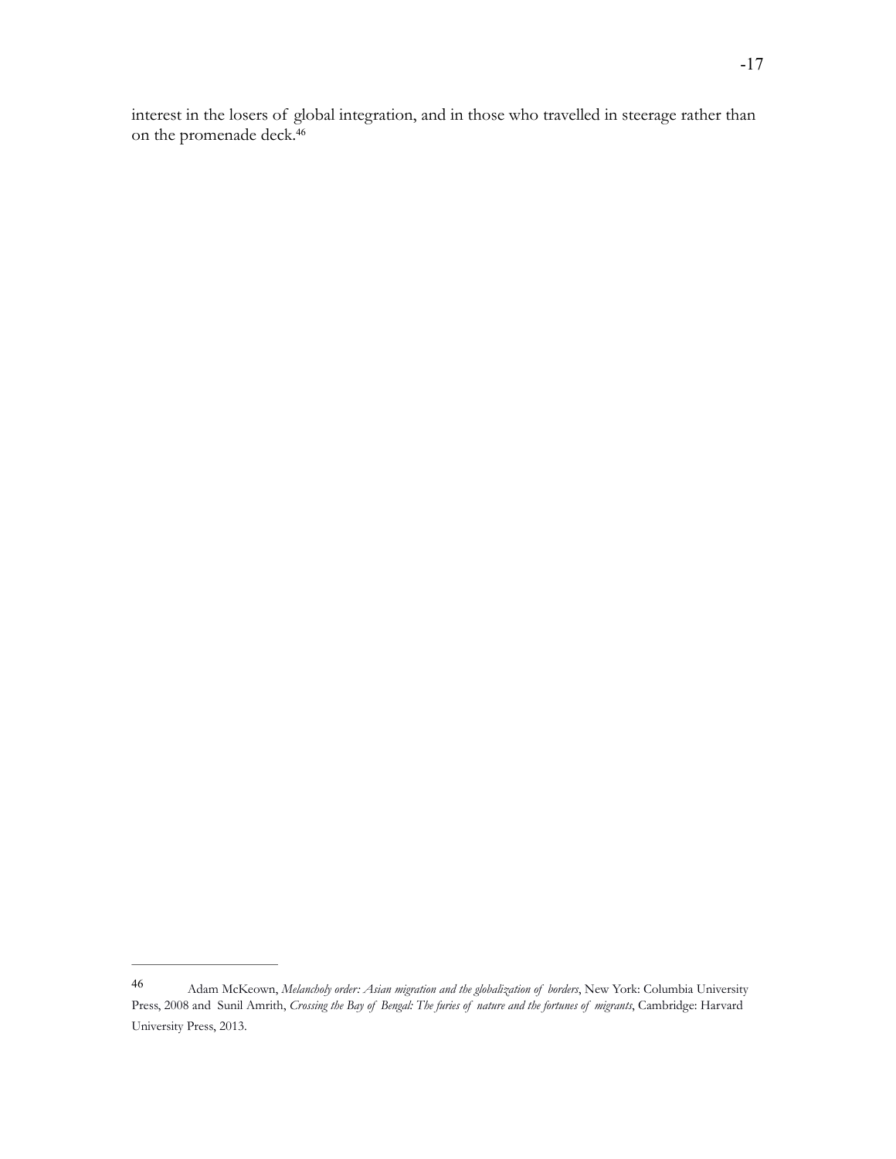interest in the losers of global integration, and in those who travelled in steerage rather than on the promenade deck.<sup>46</sup>

Adam McKeown, *Melancholy order: Asian migration and the globalization of borders*, New York: Columbia University <sup>46</sup> Press, 2008 and Sunil Amrith, *Crossing the Bay of Bengal: The furies of nature and the fortunes of migrants*, Cambridge: Harvard University Press, 2013.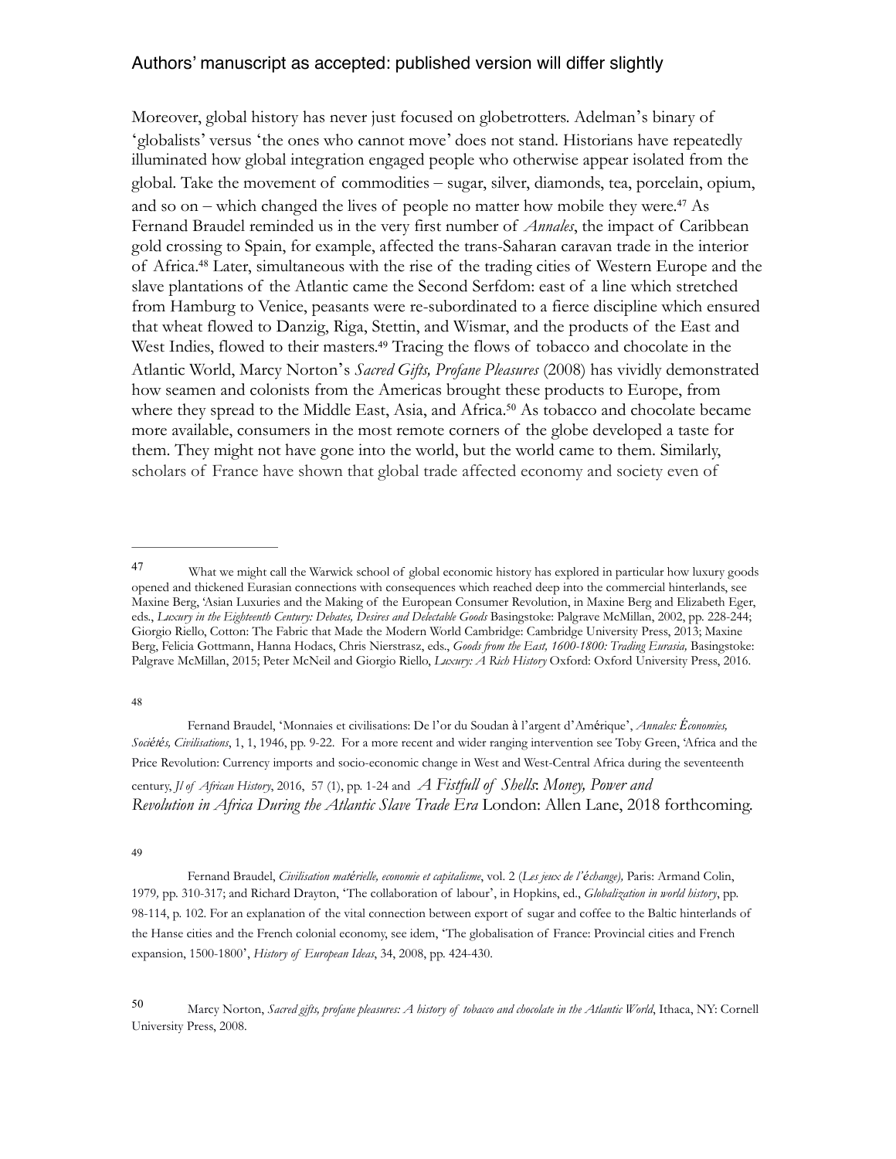Moreover, global history has never just focused on globetrotters. Adelman's binary of 'globalists' versus 'the ones who cannot move' does not stand. Historians have repeatedly illuminated how global integration engaged people who otherwise appear isolated from the global. Take the movement of commodities – sugar, silver, diamonds, tea, porcelain, opium, and so on – which changed the lives of people no matter how mobile they were.<sup>47</sup> As Fernand Braudel reminded us in the very first number of *Annales*, the impact of Caribbean gold crossing to Spain, for example, affected the trans-Saharan caravan trade in the interior of Africa.<sup>48</sup> Later, simultaneous with the rise of the trading cities of Western Europe and the slave plantations of the Atlantic came the Second Serfdom: east of a line which stretched from Hamburg to Venice, peasants were re-subordinated to a fierce discipline which ensured that wheat flowed to Danzig, Riga, Stettin, and Wismar, and the products of the East and West Indies, flowed to their masters.<sup>49</sup> Tracing the flows of tobacco and chocolate in the Atlantic World, Marcy Norton's *Sacred Gifts, Profane Pleasures* (2008) has vividly demonstrated how seamen and colonists from the Americas brought these products to Europe, from where they spread to the Middle East, Asia, and Africa.<sup>50</sup> As tobacco and chocolate became more available, consumers in the most remote corners of the globe developed a taste for them. They might not have gone into the world, but the world came to them. Similarly, scholars of France have shown that global trade affected economy and society even of

48

Fernand Braudel, 'Monnaies et civilisations: De l'or du Soudan à l'argent d'Amérique', *Annales: Économies, Sociétés, Civilisations*, 1, 1, 1946, pp. 9-22. For a more recent and wider ranging intervention see Toby Green, 'Africa and the Price Revolution: Currency imports and socio-economic change in West and West-Central Africa during the seventeenth century, *Jl of African History*, 2016, 57 (1), pp. 1-24 and *A Fistfull of Shells*: *Money, Power and Revolution in Africa During the Atlantic Slave Trade Era* London: Allen Lane, 2018 forthcoming.

49

Fernand Braudel, *Civilisation matérielle, economie et capitalisme*, vol. 2 (*Les jeux de l'échange),* Paris: Armand Colin, 1979*,* pp. 310-317; and Richard Drayton, 'The collaboration of labour', in Hopkins, ed., *Globalization in world history*, pp. 98-114, p. 102. For an explanation of the vital connection between export of sugar and coffee to the Baltic hinterlands of the Hanse cities and the French colonial economy, see idem, 'The globalisation of France: Provincial cities and French expansion, 1500-1800', *History of European Ideas*, 34, 2008, pp. 424-430.

Marcy Norton, *Sacred gifts, profane pleasures: A history of tobacco and chocolate in the Atlantic World*, Ithaca, NY: Cornell <sup>50</sup> University Press, 2008.

What we might call the Warwick school of global economic history has explored in particular how luxury goods opened and thickened Eurasian connections with consequences which reached deep into the commercial hinterlands, see Maxine Berg, 'Asian Luxuries and the Making of the European Consumer Revolution, in Maxine Berg and Elizabeth Eger, eds., *Luxury in the Eighteenth Century: Debates, Desires and Delectable Goods* Basingstoke: Palgrave McMillan, 2002, pp. 228-244; Giorgio Riello, Cotton: The Fabric that Made the Modern World Cambridge: Cambridge University Press, 2013; Maxine Berg, Felicia Gottmann, Hanna Hodacs, Chris Nierstrasz, eds., *Goods from the East, 1600-1800: Trading Eurasia,* Basingstoke: Palgrave McMillan, 2015; Peter McNeil and Giorgio Riello, *Luxury: A Rich History* Oxford: Oxford University Press, 2016.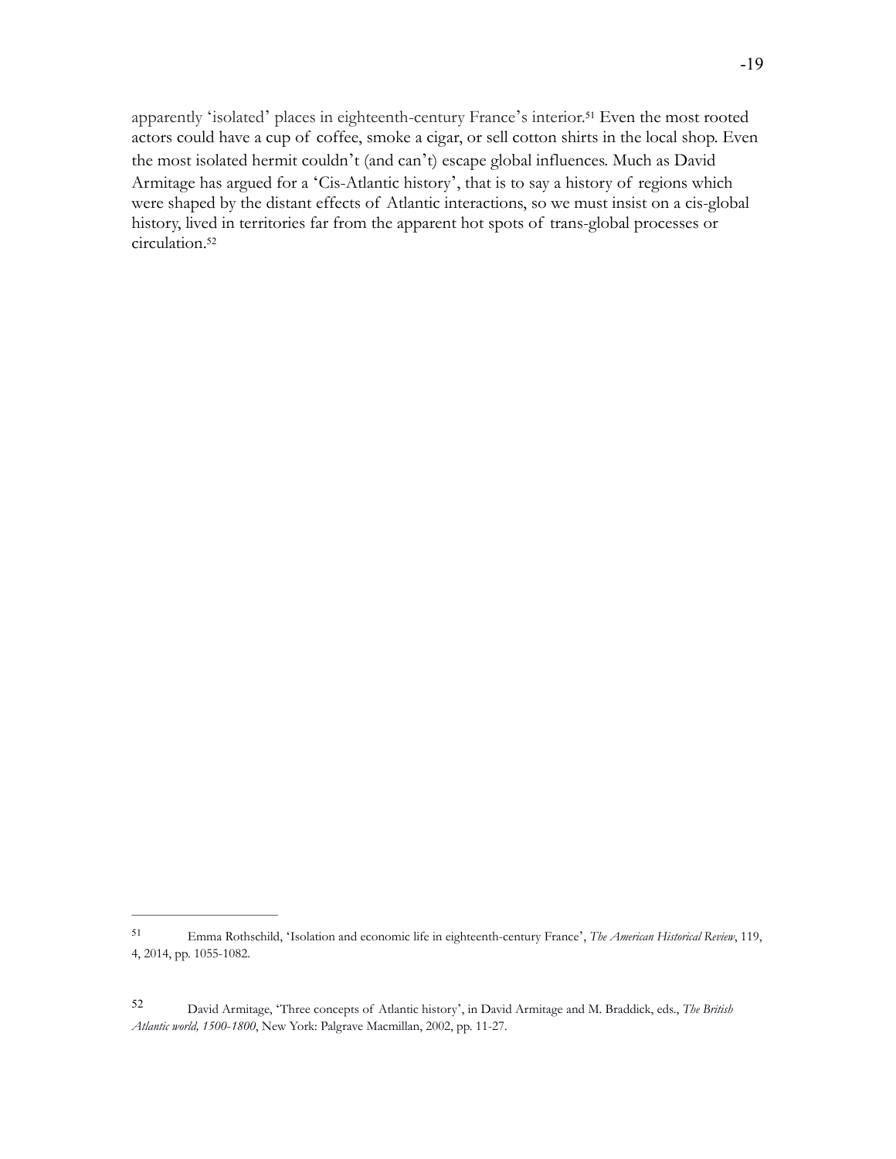apparently 'isolated' places in eighteenth-century France's interior.<sup>51</sup> Even the most rooted actors could have a cup of coffee, smoke a cigar, or sell cotton shirts in the local shop. Even the most isolated hermit couldn't (and can't) escape global influences. Much as David Armitage has argued for a 'Cis-Atlantic history', that is to say a history of regions which were shaped by the distant effects of Atlantic interactions, so we must insist on a cis-global history, lived in territories far from the apparent hot spots of trans-global processes or circulation.<sup>52</sup>

Emma Rothschild, 'Isolation and economic life in eighteenth-century France', *The American Historical Review*, 119, <sup>51</sup> 4, 2014, pp. 1055-1082.

David Armitage, 'Three concepts of Atlantic history', in David Armitage and M. Braddick, eds., *The British* <sup>52</sup> *Atlantic world, 1500*-*1800*, New York: Palgrave Macmillan, 2002, pp. 11-27.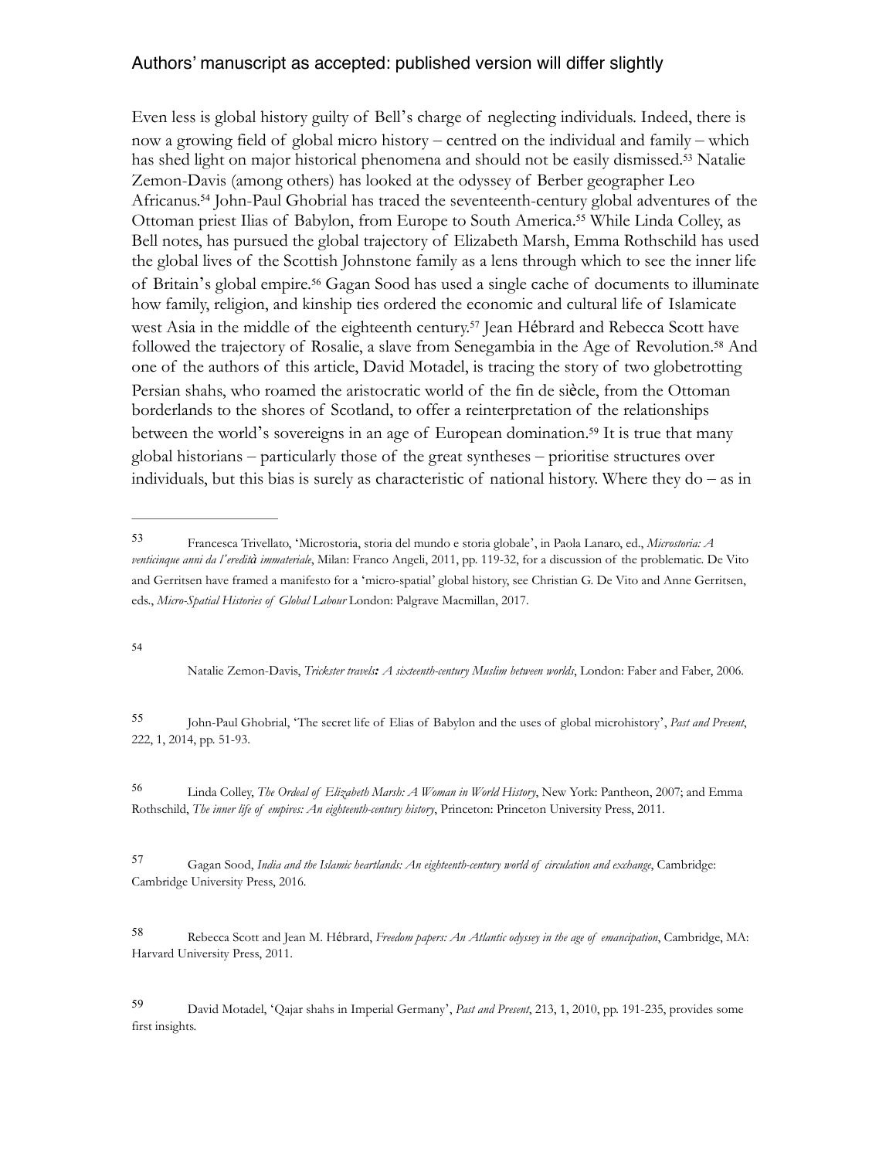Even less is global history guilty of Bell's charge of neglecting individuals. Indeed, there is now a growing field of global micro history – centred on the individual and family – which has shed light on major historical phenomena and should not be easily dismissed.<sup>53</sup> Natalie Zemon-Davis (among others) has looked at the odyssey of Berber geographer Leo Africanus.<sup>54</sup> John-Paul Ghobrial has traced the seventeenth-century global adventures of the Ottoman priest Ilias of Babylon, from Europe to South America.<sup>55</sup> While Linda Colley, as Bell notes, has pursued the global trajectory of Elizabeth Marsh, Emma Rothschild has used the global lives of the Scottish Johnstone family as a lens through which to see the inner life of Britain's global empire.<sup>56</sup> Gagan Sood has used a single cache of documents to illuminate how family, religion, and kinship ties ordered the economic and cultural life of Islamicate west Asia in the middle of the eighteenth century.<sup>57</sup> Jean Hébrard and Rebecca Scott have followed the trajectory of Rosalie, a slave from Senegambia in the Age of Revolution.<sup>58</sup> And one of the authors of this article, David Motadel, is tracing the story of two globetrotting Persian shahs, who roamed the aristocratic world of the fin de siècle, from the Ottoman borderlands to the shores of Scotland, to offer a reinterpretation of the relationships between the world's sovereigns in an age of European domination.<sup>59</sup> It is true that many global historians – particularly those of the great syntheses – prioritise structures over individuals, but this bias is surely as characteristic of national history. Where they do – as in

54

Natalie Zemon-Davis, *Trickster travels: A sixteenth-century Muslim between worlds*, London: Faber and Faber, 2006.

John-Paul Ghobrial, 'The secret life of Elias of Babylon and the uses of global microhistory', *Past and Present*, <sup>55</sup> 222, 1, 2014, pp. 51-93.

 Linda Colley, *The Ordeal of Elizabeth Marsh: A Woman in World History*, New York: Pantheon, 2007; and Emma <sup>56</sup> Rothschild, *The inner life of empires: An eighteenth-century history*, Princeton: Princeton University Press, 2011.

 Gagan Sood, *India and the Islamic heartlands: An eighteenth-century world of circulation and exchange*, Cambridge: <sup>57</sup> Cambridge University Press, 2016.

Rebecca Scott and Jean M. Hébrard, *Freedom papers: An Atlantic odyssey in the age of emancipation*, Cambridge, MA: <sup>58</sup> Harvard University Press, 2011.

David Motadel, 'Qajar shahs in Imperial Germany', *Past and Present*, 213, 1, 2010, pp. 191-235, provides some <sup>59</sup> first insights.

Francesca Trivellato, 'Microstoria, storia del mundo e storia globale', in Paola Lanaro, ed., *Microstoria: A* <sup>53</sup> *venticinque anni da l'eredità immateriale*, Milan: Franco Angeli, 2011, pp. 119-32, for a discussion of the problematic. De Vito and Gerritsen have framed a manifesto for a 'micro-spatial' global history, see Christian G. De Vito and Anne Gerritsen, eds., *Micro-Spatial Histories of Global Labour* London: Palgrave Macmillan, 2017.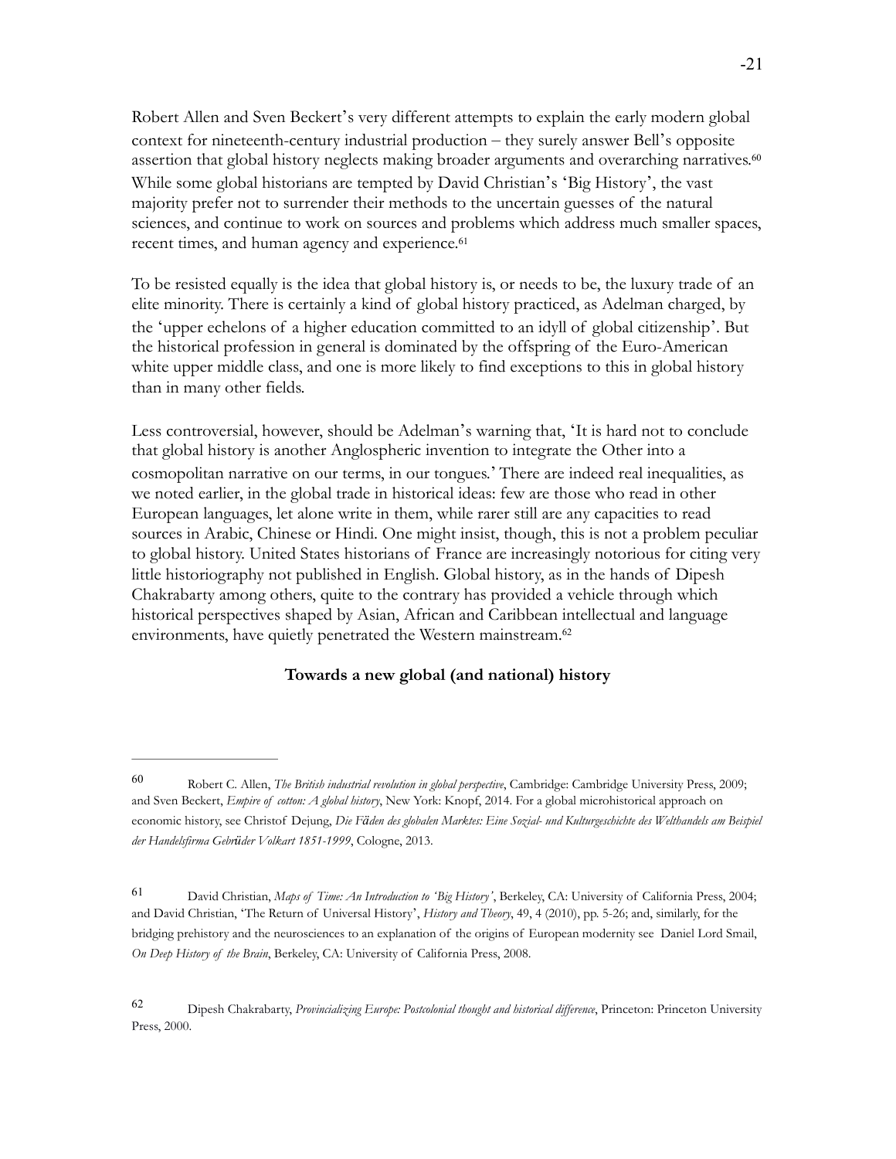Robert Allen and Sven Beckert's very different attempts to explain the early modern global context for nineteenth-century industrial production – they surely answer Bell's opposite assertion that global history neglects making broader arguments and overarching narratives.<sup>60</sup> While some global historians are tempted by David Christian's 'Big History', the vast majority prefer not to surrender their methods to the uncertain guesses of the natural sciences, and continue to work on sources and problems which address much smaller spaces, recent times, and human agency and experience.<sup>61</sup>

To be resisted equally is the idea that global history is, or needs to be, the luxury trade of an elite minority. There is certainly a kind of global history practiced, as Adelman charged, by the 'upper echelons of a higher education committed to an idyll of global citizenship'. But the historical profession in general is dominated by the offspring of the Euro-American white upper middle class, and one is more likely to find exceptions to this in global history than in many other fields.

Less controversial, however, should be Adelman's warning that, 'It is hard not to conclude that global history is another Anglospheric invention to integrate the Other into a cosmopolitan narrative on our terms, in our tongues.' There are indeed real inequalities, as we noted earlier, in the global trade in historical ideas: few are those who read in other European languages, let alone write in them, while rarer still are any capacities to read sources in Arabic, Chinese or Hindi. One might insist, though, this is not a problem peculiar to global history. United States historians of France are increasingly notorious for citing very little historiography not published in English. Global history, as in the hands of Dipesh Chakrabarty among others, quite to the contrary has provided a vehicle through which historical perspectives shaped by Asian, African and Caribbean intellectual and language environments, have quietly penetrated the Western mainstream.<sup>62</sup>

### **Towards a new global (and national) history**

Robert C. Allen, *The British industrial revolution in global perspective*, Cambridge: Cambridge University Press, 2009; <sup>60</sup> and Sven Beckert, *Empire of cotton: A global history*, New York: Knopf, 2014. For a global microhistorical approach on economic history, see Christof Dejung, *Die Fäden des globalen Marktes: Eine Sozial- und Kulturgeschichte des Welthandels am Beispiel der Handelsfirma Gebrüder Volkart 1851-1999*, Cologne, 2013.

David Christian, *Maps of Time: An Introduction to 'Big History'*, Berkeley, CA: University of California Press, 2004; <sup>61</sup> and David Christian, 'The Return of Universal History', *History and Theory*, 49, 4 (2010), pp. 5-26; and, similarly, for the bridging prehistory and the neurosciences to an explanation of the origins of European modernity see Daniel Lord Smail, *On Deep History of the Brain*, Berkeley, CA: University of California Press, 2008.

Dipesh Chakrabarty, *Provincializing Europe: Postcolonial thought and historical difference*, Princeton: Princeton University <sup>62</sup> Press, 2000.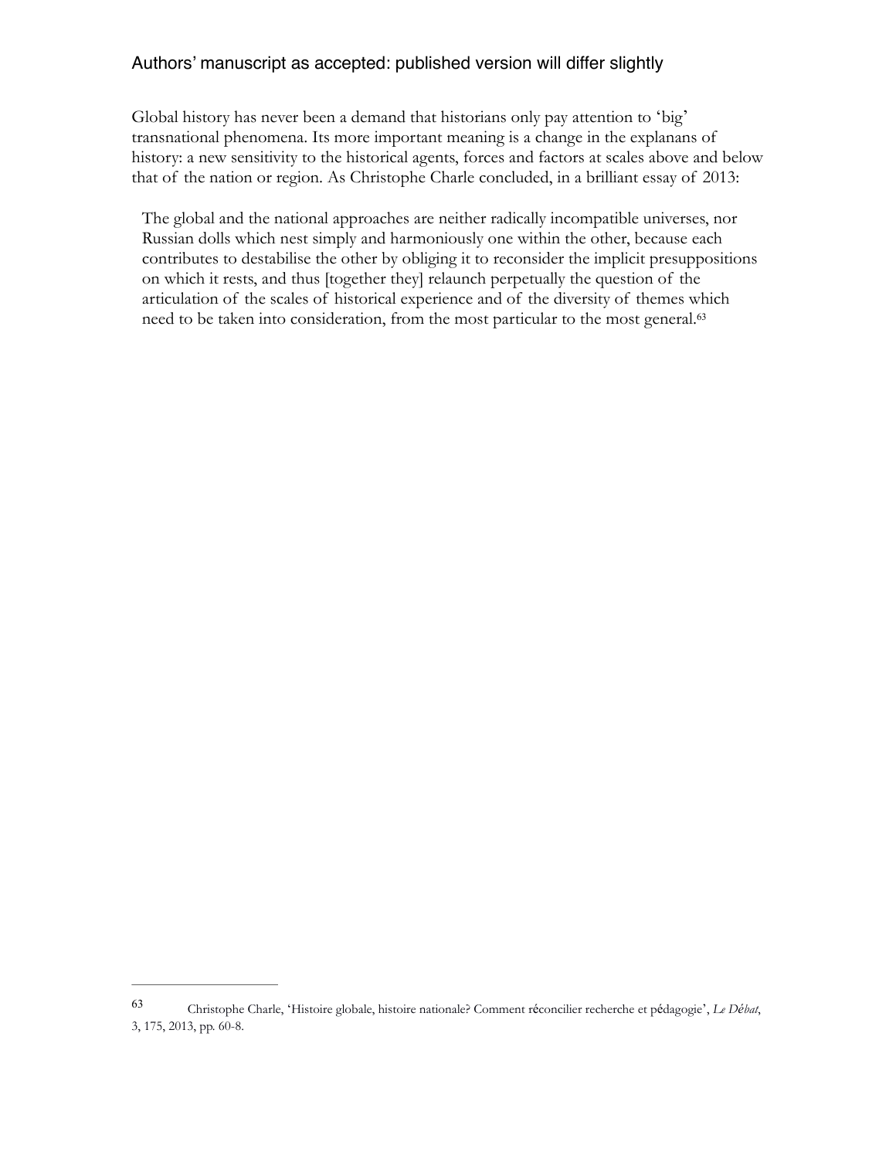Global history has never been a demand that historians only pay attention to 'big' transnational phenomena. Its more important meaning is a change in the explanans of history: a new sensitivity to the historical agents, forces and factors at scales above and below that of the nation or region. As Christophe Charle concluded, in a brilliant essay of 2013:

The global and the national approaches are neither radically incompatible universes, nor Russian dolls which nest simply and harmoniously one within the other, because each contributes to destabilise the other by obliging it to reconsider the implicit presuppositions on which it rests, and thus [together they] relaunch perpetually the question of the articulation of the scales of historical experience and of the diversity of themes which need to be taken into consideration, from the most particular to the most general.<sup>63</sup>

Christophe Charle, 'Histoire globale, histoire nationale? Comment réconcilier recherche et pédagogie', *Le Débat*, <sup>63</sup> 3, 175, 2013, pp. 60-8.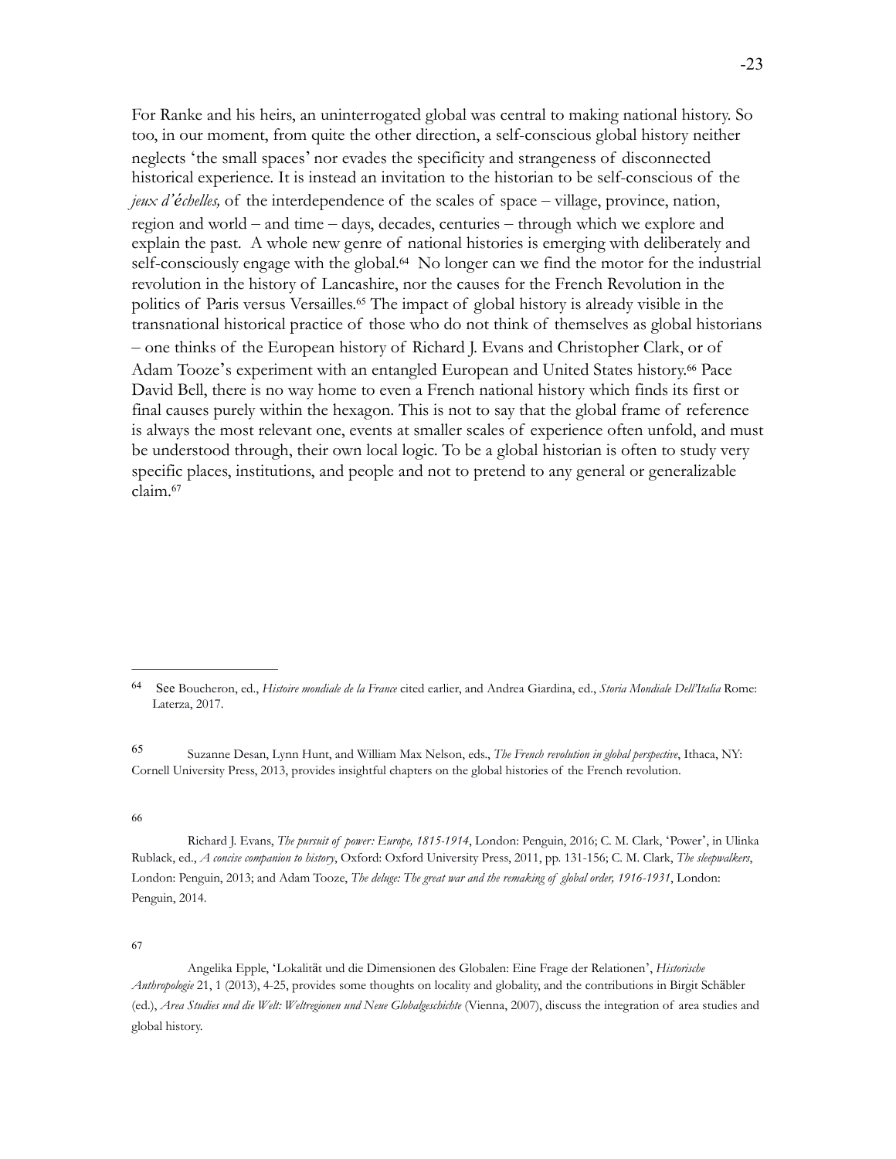For Ranke and his heirs, an uninterrogated global was central to making national history. So too, in our moment, from quite the other direction, a self-conscious global history neither neglects 'the small spaces' nor evades the specificity and strangeness of disconnected historical experience. It is instead an invitation to the historian to be self-conscious of the *jeux d'échelles,* of the interdependence of the scales of space – village, province, nation, region and world – and time – days, decades, centuries – through which we explore and explain the past. A whole new genre of national histories is emerging with deliberately and self-consciously engage with the global.<sup>64</sup> No longer can we find the motor for the industrial revolution in the history of Lancashire, nor the causes for the French Revolution in the politics of Paris versus Versailles.<sup>65</sup> The impact of global history is already visible in the transnational historical practice of those who do not think of themselves as global historians – one thinks of the European history of Richard J. Evans and Christopher Clark, or of Adam Tooze's experiment with an entangled European and United States history.<sup>66</sup> Pace David Bell, there is no way home to even a French national history which finds its first or final causes purely within the hexagon. This is not to say that the global frame of reference is always the most relevant one, events at smaller scales of experience often unfold, and must be understood through, their own local logic. To be a global historian is often to study very specific places, institutions, and people and not to pretend to any general or generalizable claim.<sup>67</sup>

66

Richard J. Evans, *The pursuit of power: Europe, 1815-1914*, London: Penguin, 2016; C. M. Clark, 'Power', in Ulinka Rublack, ed., *A concise companion to history*, Oxford: Oxford University Press, 2011, pp. 131-156; C. M. Clark, *The sleepwalkers*, London: Penguin, 2013; and Adam Tooze, *The deluge: The great war and the remaking of global order, 1916-1931*, London: Penguin, 2014.

67

 Angelika Epple, 'Lokalität und die Dimensionen des Globalen: Eine Frage der Relationen', *Historische Anthropologie* 21, 1 (2013), 4-25, provides some thoughts on locality and globality, and the contributions in Birgit Schäbler (ed.), *Area Studies und die Welt: Weltregionen und Neue Globalgeschichte* (Vienna, 2007), discuss the integration of area studies and global history.

See Boucheron, ed., *Histoire mondiale de la France* cited earlier, and Andrea Giardina, ed., *Storia Mondiale Dell'Italia* Rome: <sup>64</sup> Laterza, 2017.

Suzanne Desan, Lynn Hunt, and William Max Nelson, eds., *The French revolution in global perspective*, Ithaca, NY: <sup>65</sup> Cornell University Press, 2013, provides insightful chapters on the global histories of the French revolution.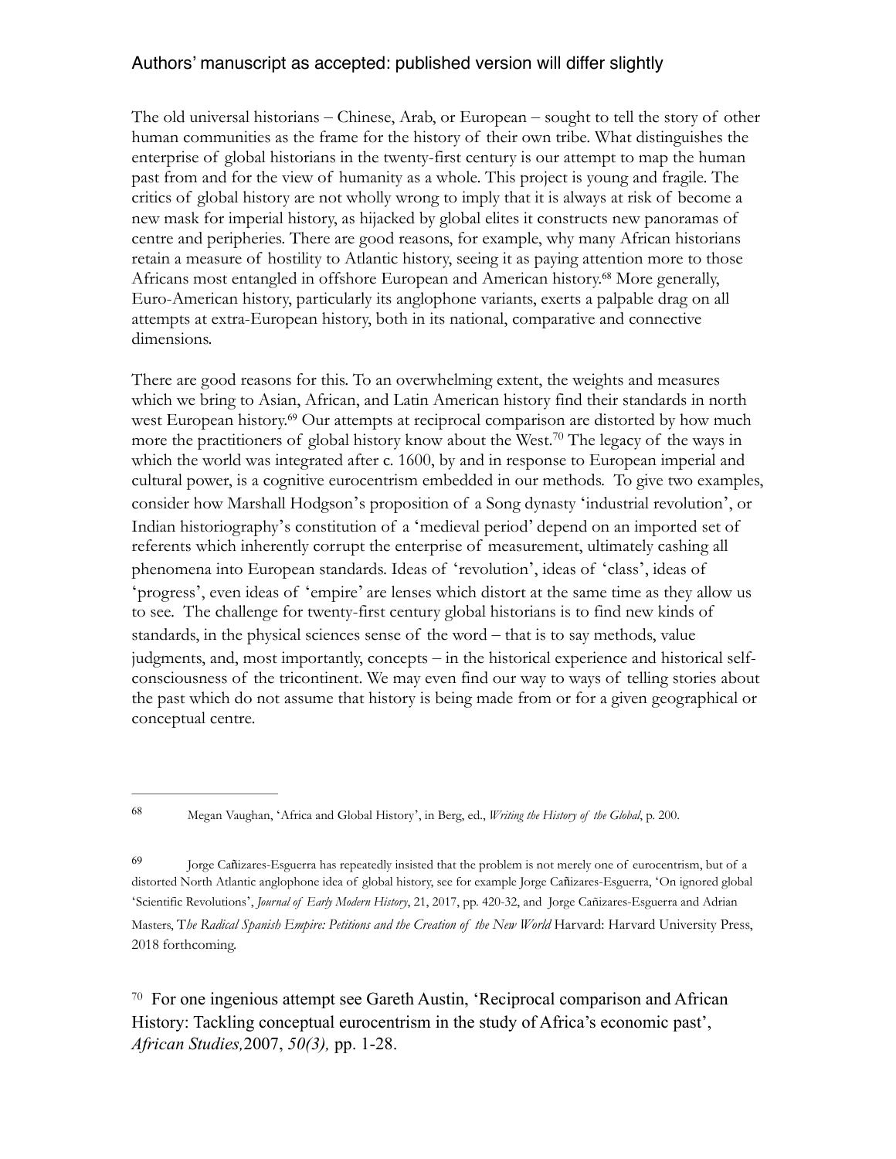The old universal historians – Chinese, Arab, or European – sought to tell the story of other human communities as the frame for the history of their own tribe. What distinguishes the enterprise of global historians in the twenty-first century is our attempt to map the human past from and for the view of humanity as a whole. This project is young and fragile. The critics of global history are not wholly wrong to imply that it is always at risk of become a new mask for imperial history, as hijacked by global elites it constructs new panoramas of centre and peripheries. There are good reasons, for example, why many African historians retain a measure of hostility to Atlantic history, seeing it as paying attention more to those Africans most entangled in offshore European and American history.<sup>68</sup> More generally, Euro-American history, particularly its anglophone variants, exerts a palpable drag on all attempts at extra-European history, both in its national, comparative and connective dimensions.

There are good reasons for this. To an overwhelming extent, the weights and measures which we bring to Asian, African, and Latin American history find their standards in north west European history.<sup>69</sup> Our attempts at reciprocal comparison are distorted by how much more the practitioners of global history know about the West.<sup>70</sup> The legacy of the ways in which the world was integrated after c. 1600, by and in response to European imperial and cultural power, is a cognitive eurocentrism embedded in our methods. To give two examples, consider how Marshall Hodgson's proposition of a Song dynasty 'industrial revolution', or Indian historiography's constitution of a 'medieval period' depend on an imported set of referents which inherently corrupt the enterprise of measurement, ultimately cashing all phenomena into European standards. Ideas of 'revolution', ideas of 'class', ideas of 'progress', even ideas of 'empire' are lenses which distort at the same time as they allow us to see. The challenge for twenty-first century global historians is to find new kinds of standards, in the physical sciences sense of the word – that is to say methods, value judgments, and, most importantly, concepts – in the historical experience and historical selfconsciousness of the tricontinent. We may even find our way to ways of telling stories about the past which do not assume that history is being made from or for a given geographical or conceptual centre.

 $\frac{70}{10}$  For one ingenious attempt see Gareth Austin, 'Reciprocal comparison and African History: Tackling conceptual eurocentrism in the study of Africa's economic past', *African Studies,*2007, *50(3),* pp. 1-28.

Megan Vaughan, 'Africa and Global History', in Berg, ed., *Writing the History of the Global*, p. 200. <sup>68</sup>

Jorge Cañizares-Esguerra has repeatedly insisted that the problem is not merely one of eurocentrism, but of a <sup>69</sup> distorted North Atlantic anglophone idea of global history, see for example Jorge Cañizares-Esguerra, 'On ignored global 'Scientific Revolutions', *Journal of Early Modern History*, 21, 2017, pp. 420-32, and Jorge Cañizares-Esguerra and Adrian Masters, The Radical Spanish Empire: Petitions and the Creation of the New World Harvard: Harvard University Press, 2018 forthcoming.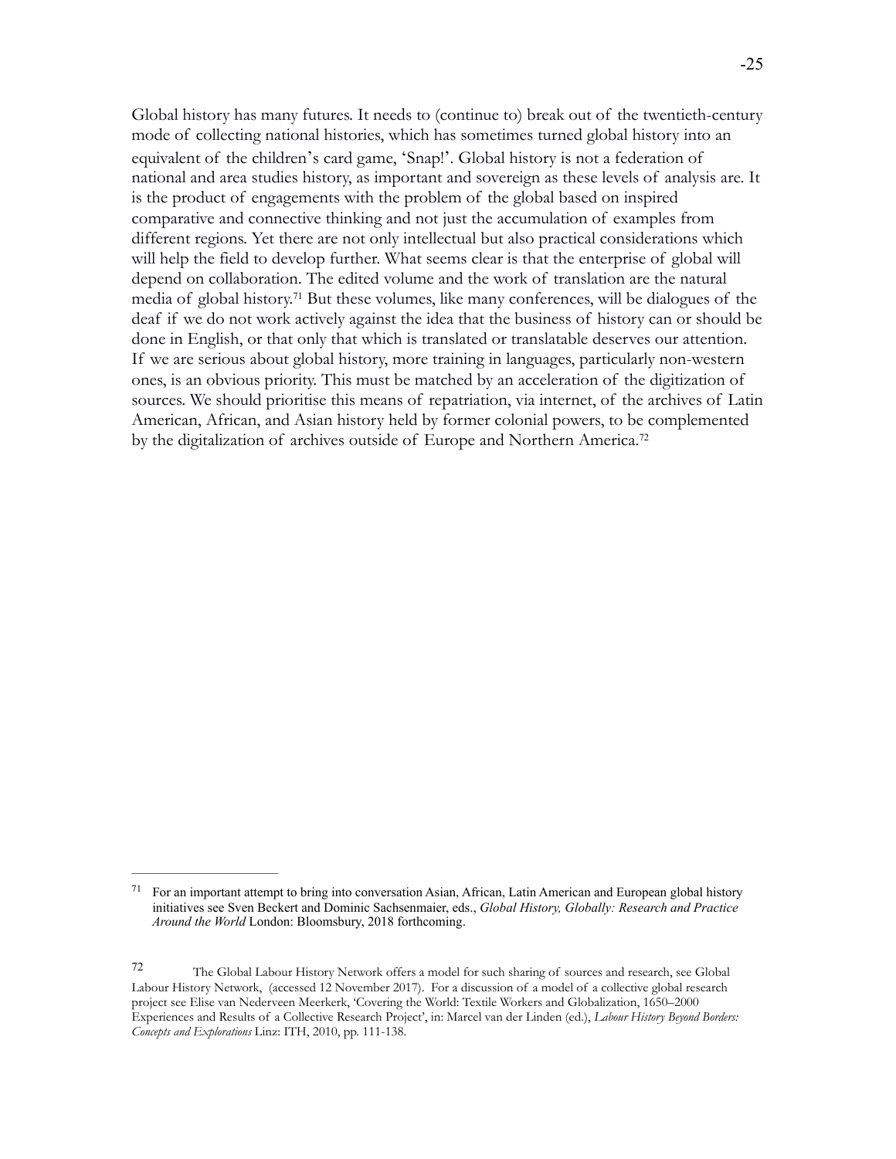Global history has many futures. It needs to (continue to) break out of the twentieth-century mode of collecting national histories, which has sometimes turned global history into an equivalent of the children's card game, 'Snap!'. Global history is not a federation of national and area studies history, as important and sovereign as these levels of analysis are. It is the product of engagements with the problem of the global based on inspired comparative and connective thinking and not just the accumulation of examples from different regions. Yet there are not only intellectual but also practical considerations which will help the field to develop further. What seems clear is that the enterprise of global will depend on collaboration. The edited volume and the work of translation are the natural media of global history.<sup>71</sup> But these volumes, like many conferences, will be dialogues of the deaf if we do not work actively against the idea that the business of history can or should be done in English, or that only that which is translated or translatable deserves our attention. If we are serious about global history, more training in languages, particularly non-western ones, is an obvious priority. This must be matched by an acceleration of the digitization of sources. We should prioritise this means of repatriation, via internet, of the archives of Latin American, African, and Asian history held by former colonial powers, to be complemented by the digitalization of archives outside of Europe and Northern America.<sup>72</sup>

 $71$  For an important attempt to bring into conversation Asian, African, Latin American and European global history initiatives see Sven Beckert and Dominic Sachsenmaier, eds., *Global History, Globally: Research and Practice Around the World* London: Bloomsbury, 2018 forthcoming.

The Global Labour History Network offers a model for such sharing of sources and research, see Global <sup>72</sup> Labour History Network, (accessed 12 November 2017). For a discussion of a model of a collective global research project see Elise van Nederveen Meerkerk, 'Covering the World: Textile Workers and Globalization, 1650–2000 Experiences and Results of a Collective Research Project', in: Marcel van der Linden (ed.), *Labour History Beyond Borders: Concepts and Explorations* Linz: ITH, 2010, pp. 111-138.